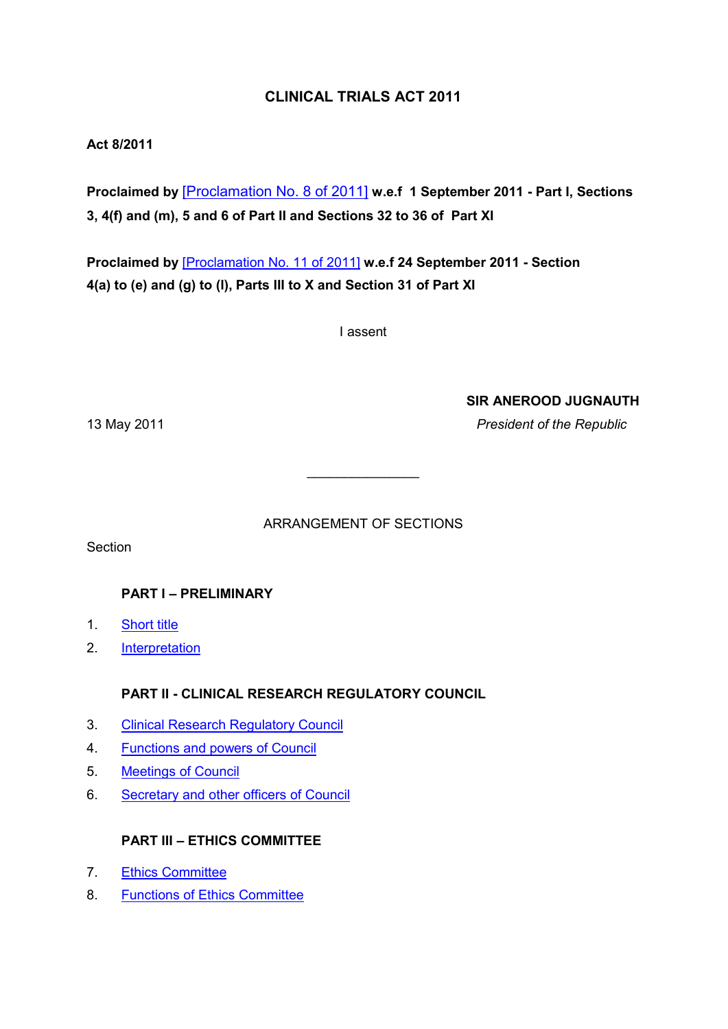# **CLINICAL TRIALS ACT 2011**

# **Act 8/2011**

**Proclaimed by** [\[Proclamation No. 8 of 2011\]](https://supremecourt.govmu.org/get-doc-link/Proclamation_No._8_of_2011) **w.e.f 1 September 2011 - Part I, Sections 3, 4(f) and (m), 5 and 6 of Part II and Sections 32 to 36 of Part XI** 

**Proclaimed by** [\[Proclamation No. 11 of 2011\]](https://supremecourt.govmu.org/get-doc-link/Proclamation_No._11_of_2011) **w.e.f 24 September 2011 - Section 4(a) to (e) and (g) to (l), Parts III to X and Section 31 of Part XI** 

I assent

**SIR ANEROOD JUGNAUTH**

13 May 2011 *President of the Republic*

ARRANGEMENT OF SECTIONS

 $\overline{\phantom{a}}$  , where  $\overline{\phantom{a}}$ 

**Section** 

# **PART I – PRELIMINARY**

- 1. [Short title](#page-2-0)
- 2. [Interpretation](#page-2-1)

# **PART II - CLINICAL RESEARCH REGULATORY COUNCIL**

- 3. [Clinical Research Regulatory Council](#page-8-0)
- 4. [Functions and powers of Council](#page-10-0)
- 5. [Meetings of Council](#page-11-0)
- 6. [Secretary and other officers of Council](#page-12-0)

# **PART III – ETHICS COMMITTEE**

- 7. [Ethics Committee](#page-12-1)
- 8. [Functions of Ethics Committee](#page-14-0)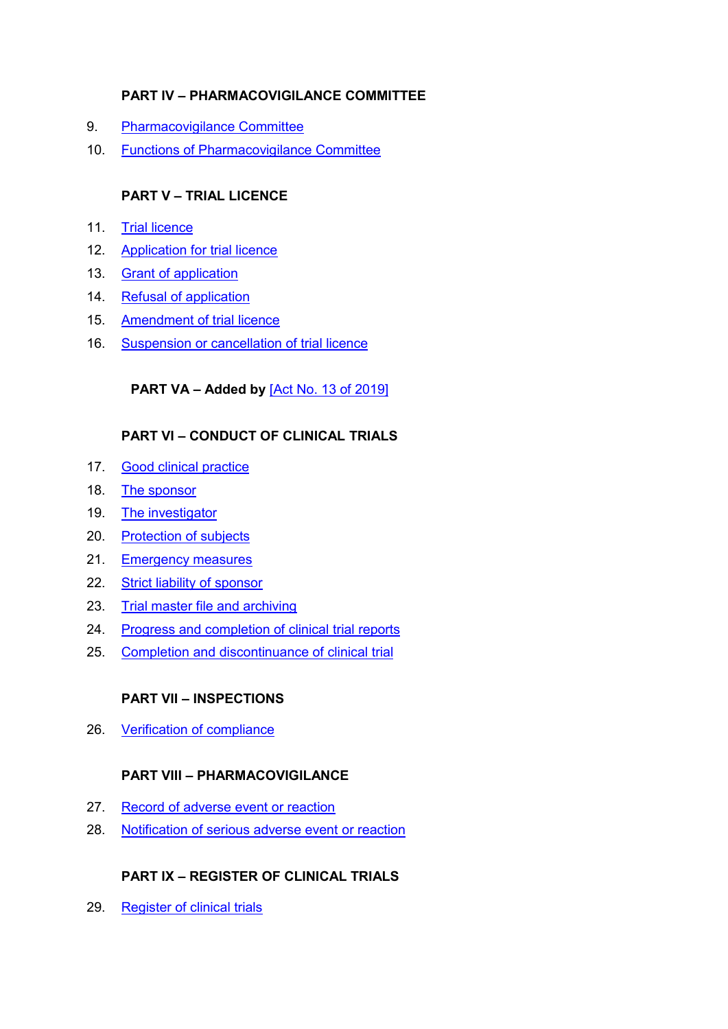# **PART IV – PHARMACOVIGILANCE COMMITTEE**

- 9. [Pharmacovigilance Committee](#page-15-0)
- 10. [Functions of Pharmacovigilance Committee](#page-16-0)

# **PART V – TRIAL LICENCE**

- 11. [Trial licence](#page-17-0)
- 12. [Application for trial licence](#page-17-0)
- 13. [Grant of application](#page-19-0)
- 14. [Refusal of application](#page-20-0)
- 15. [Amendment of trial licence](#page-21-0)
- 16. [Suspension or cancellation of trial licence](#page-21-1)

# **PART VA – Added by** [\[Act No. 13 of 2019\]](https://supremecourt.govmu.org/get-doc-link/Act_No._13_of_2019)

# **PART VI – CONDUCT OF CLINICAL TRIALS**

- 17. [Good clinical practice](#page-24-0)
- 18. [The sponsor](#page-25-0)
- 19. [The investigator](#page-26-0)
- 20. [Protection of subjects](#page-26-1)
- 21. [Emergency measures](#page-28-0)
- 22. [Strict liability of sponsor](#page-28-1)
- 23. [Trial master file and archiving](#page-28-2)
- 24. [Progress and completion of clinical](#page-29-0) trial reports
- 25. [Completion and discontinuance of](#page-30-0) clinical trial

# **PART VII – INSPECTIONS**

26. [Verification of compliance](#page-30-1)

# **PART VIII – PHARMACOVIGILANCE**

- 27. [Record of adverse event or reaction](#page-30-2)
- 28. [Notification of serious adverse event](#page-31-0) or reaction

# **PART IX – REGISTER OF CLINICAL TRIALS**

29. [Register of clinical trials](#page-31-1)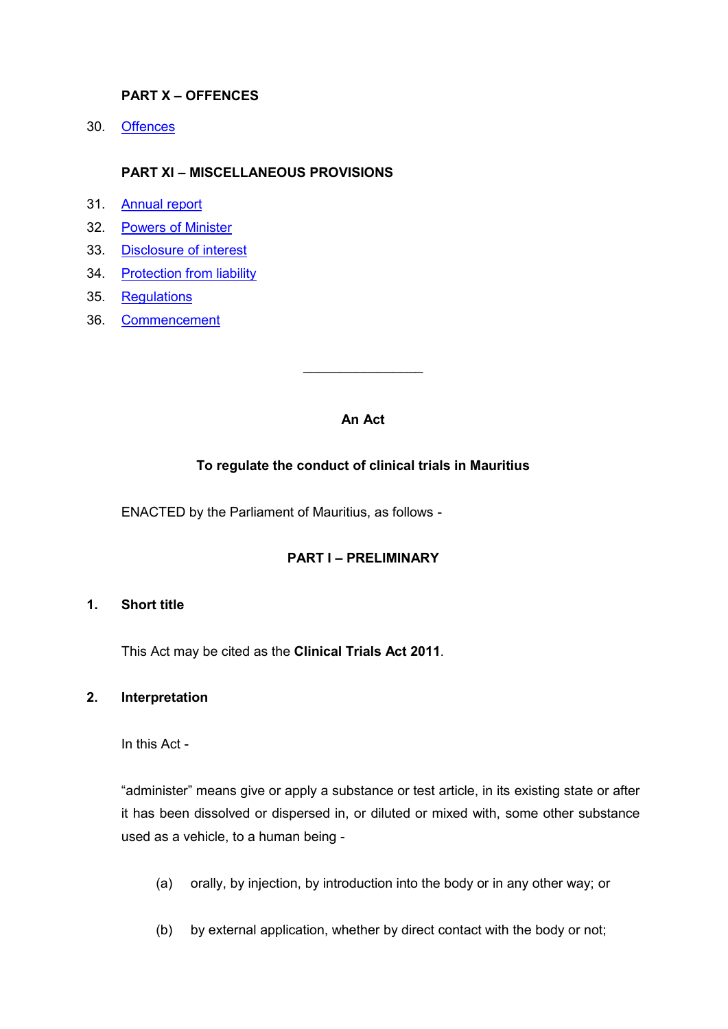# **PART X – OFFENCES**

30. [Offences](#page-32-0)

## **PART XI – MISCELLANEOUS PROVISIONS**

- 31. [Annual report](#page-33-0)
- 32. [Powers of Minister](#page-33-1)
- 33. [Disclosure of interest](#page-33-2)
- 34. [Protection from liability](#page-34-0)
- 35. [Regulations](#page-34-1)
- 36. [Commencement](#page-35-0)

### **An Act**

 $\overline{\phantom{a}}$  , where  $\overline{\phantom{a}}$ 

## **To regulate the conduct of clinical trials in Mauritius**

ENACTED by the Parliament of Mauritius, as follows -

# **PART I – PRELIMINARY**

### <span id="page-2-0"></span>**1. Short title**

This Act may be cited as the **Clinical Trials Act 2011***.*

#### <span id="page-2-1"></span>**2. Interpretation**

In this Act -

"administer" means give or apply a substance or test article, in its existing state or after it has been dissolved or dispersed in, or diluted or mixed with, some other substance used as a vehicle, to a human being -

- (a) orally, by injection, by introduction into the body or in any other way; or
- (b) by external application, whether by direct contact with the body or not;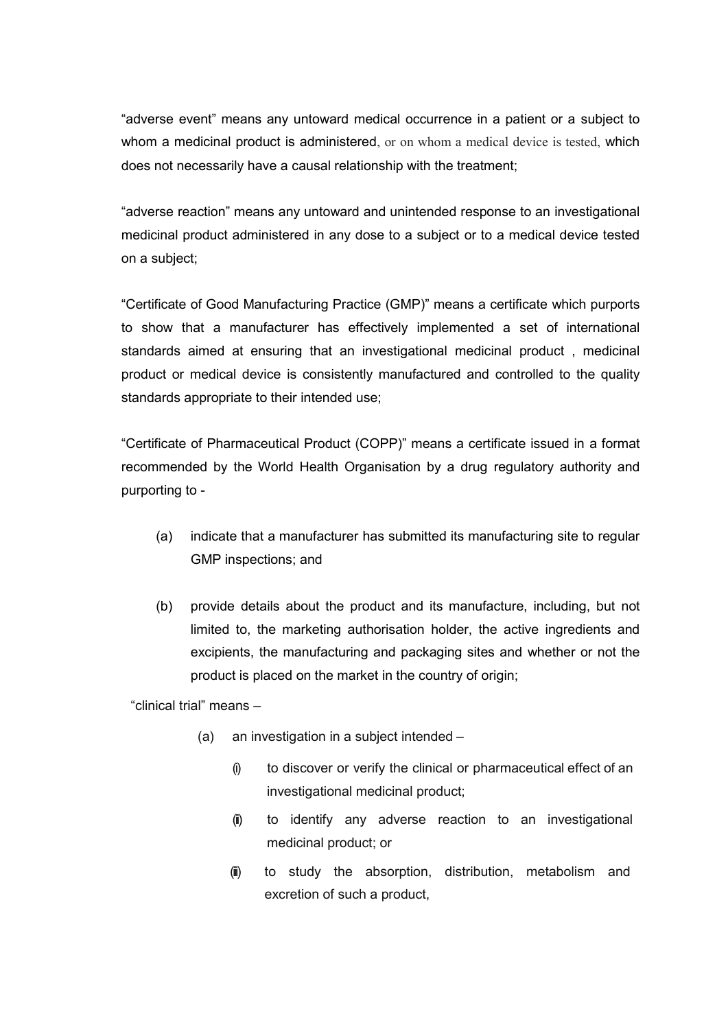"adverse event" means any untoward medical occurrence in a patient or a subject to whom a medicinal product is administered, or on whom a medical device is tested, which does not necessarily have a causal relationship with the treatment;

"adverse reaction" means any untoward and unintended response to an investigational medicinal product administered in any dose to a subject or to a medical device tested on a subject;

"Certificate of Good Manufacturing Practice (GMP)" means a certificate which purports to show that a manufacturer has effectively implemented a set of international standards aimed at ensuring that an investigational medicinal product , medicinal product or medical device is consistently manufactured and controlled to the quality standards appropriate to their intended use;

"Certificate of Pharmaceutical Product (COPP)" means a certificate issued in a format recommended by the World Health Organisation by a drug regulatory authority and purporting to -

- (a) indicate that a manufacturer has submitted its manufacturing site to regular GMP inspections; and
- (b) provide details about the product and its manufacture, including, but not limited to, the marketing authorisation holder, the active ingredients and excipients, the manufacturing and packaging sites and whether or not the product is placed on the market in the country of origin;

"clinical trial" means –

- (a) an investigation in a subject intended
	- (i) to discover or verify the clinical or pharmaceutical effect of an investigational medicinal product;
	- (ii) to identify any adverse reaction to an investigational medicinal product; or
	- (iii) to study the absorption, distribution, metabolism and excretion of such a product,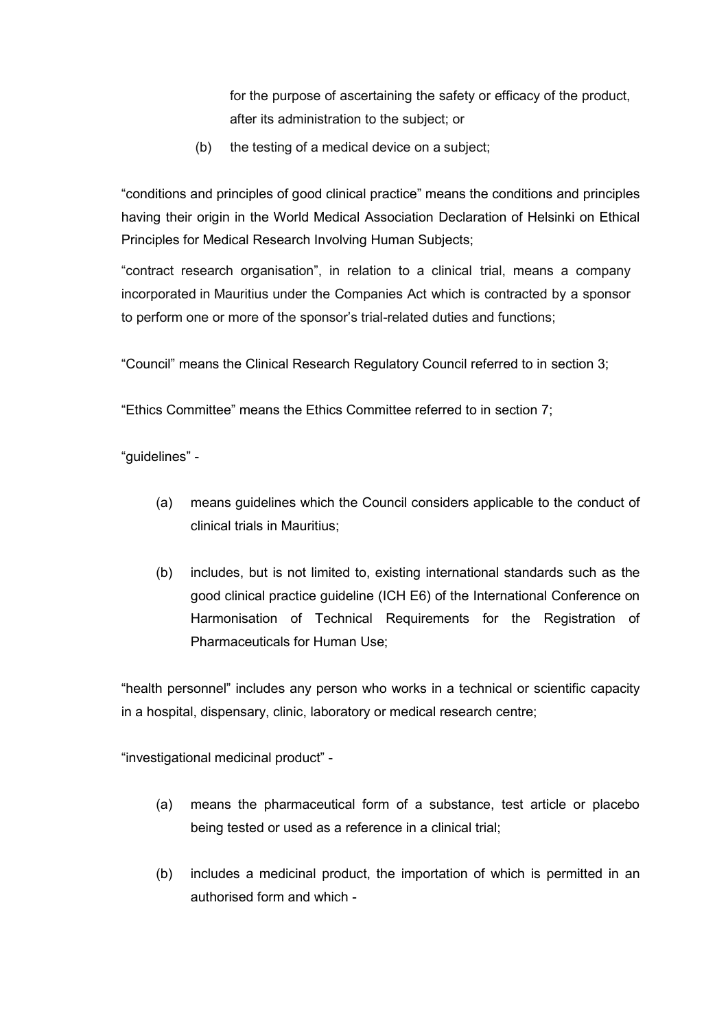for the purpose of ascertaining the safety or efficacy of the product, after its administration to the subject; or

(b) the testing of a medical device on a subject;

"conditions and principles of good clinical practice" means the conditions and principles having their origin in the World Medical Association Declaration of Helsinki on Ethical Principles for Medical Research Involving Human Subjects;

"contract research organisation", in relation to a clinical trial, means a company incorporated in Mauritius under the Companies Act which is contracted by a sponsor to perform one or more of the sponsor's trial-related duties and functions;

"Council" means the Clinical Research Regulatory Council referred to in section 3;

"Ethics Committee" means the Ethics Committee referred to in section 7;

"guidelines" -

- (a) means guidelines which the Council considers applicable to the conduct of clinical trials in Mauritius;
- (b) includes, but is not limited to, existing international standards such as the good clinical practice guideline (ICH E6) of the International Conference on Harmonisation of Technical Requirements for the Registration of Pharmaceuticals for Human Use;

"health personnel" includes any person who works in a technical or scientific capacity in a hospital, dispensary, clinic, laboratory or medical research centre;

"investigational medicinal product" -

- (a) means the pharmaceutical form of a substance, test article or placebo being tested or used as a reference in a clinical trial;
- (b) includes a medicinal product, the importation of which is permitted in an authorised form and which -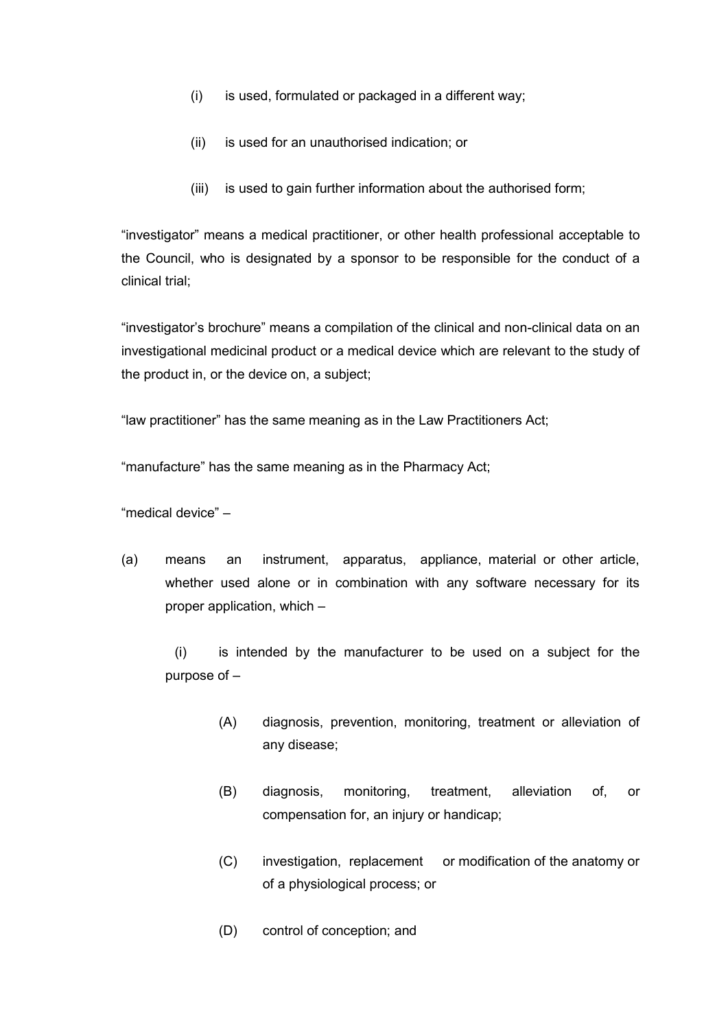- (i) is used, formulated or packaged in a different way;
- (ii) is used for an unauthorised indication; or
- (iii) is used to gain further information about the authorised form;

"investigator" means a medical practitioner, or other health professional acceptable to the Council, who is designated by a sponsor to be responsible for the conduct of a clinical trial;

"investigator's brochure" means a compilation of the clinical and non-clinical data on an investigational medicinal product or a medical device which are relevant to the study of the product in, or the device on, a subject;

"law practitioner" has the same meaning as in the Law Practitioners Act;

"manufacture" has the same meaning as in the Pharmacy Act;

"medical device" –

(a) means an instrument, apparatus, appliance, material or other article, whether used alone or in combination with any software necessary for its proper application, which –

(i) is intended by the manufacturer to be used on a subject for the purpose of –

- (A) diagnosis, prevention, monitoring, treatment or alleviation of any disease;
- (B) diagnosis, monitoring, treatment, alleviation of, or compensation for, an injury or handicap;
- (C) investigation, replacement or modification of the anatomy or of a physiological process; or
- (D) control of conception; and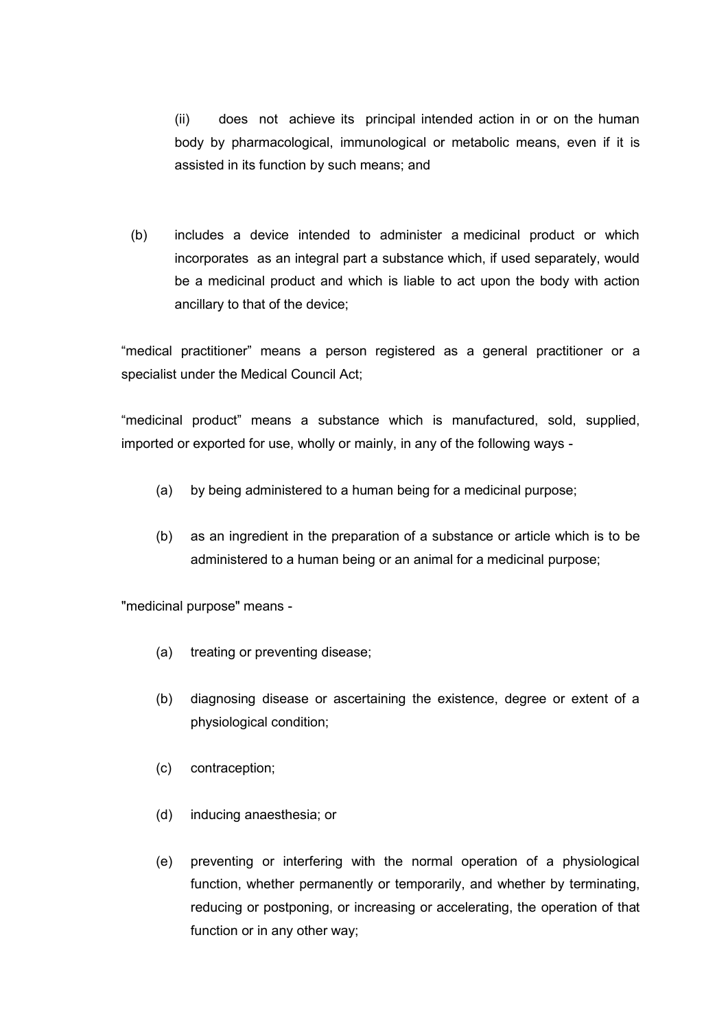(ii) does not achieve its principal intended action in or on the human body by pharmacological, immunological or metabolic means, even if it is assisted in its function by such means; and

(b) includes a device intended to administer a medicinal product or which incorporates as an integral part a substance which, if used separately, would be a medicinal product and which is liable to act upon the body with action ancillary to that of the device;

"medical practitioner" means a person registered as a general practitioner or a specialist under the Medical Council Act;

"medicinal product" means a substance which is manufactured, sold, supplied, imported or exported for use, wholly or mainly, in any of the following ways -

- (a) by being administered to a human being for a medicinal purpose;
- (b) as an ingredient in the preparation of a substance or article which is to be administered to a human being or an animal for a medicinal purpose;

"medicinal purpose" means -

- (a) treating or preventing disease;
- (b) diagnosing disease or ascertaining the existence, degree or extent of a physiological condition;
- (c) contraception;
- (d) inducing anaesthesia; or
- (e) preventing or interfering with the normal operation of a physiological function, whether permanently or temporarily, and whether by terminating, reducing or postponing, or increasing or accelerating, the operation of that function or in any other way;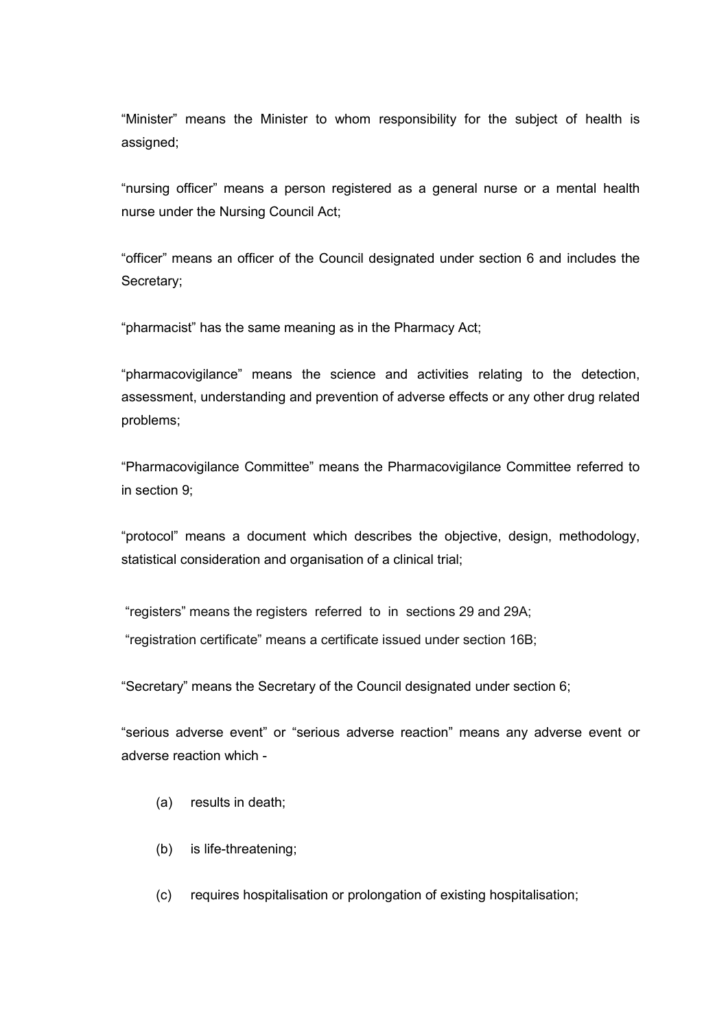"Minister" means the Minister to whom responsibility for the subject of health is assigned;

"nursing officer" means a person registered as a general nurse or a mental health nurse under the Nursing Council Act;

"officer" means an officer of the Council designated under section 6 and includes the Secretary;

"pharmacist" has the same meaning as in the Pharmacy Act;

"pharmacovigilance" means the science and activities relating to the detection, assessment, understanding and prevention of adverse effects or any other drug related problems;

"Pharmacovigilance Committee" means the Pharmacovigilance Committee referred to in section 9;

"protocol" means a document which describes the objective, design, methodology, statistical consideration and organisation of a clinical trial;

"registers" means the registers referred to in sections 29 and 29A;

"registration certificate" means a certificate issued under section 16B;

"Secretary" means the Secretary of the Council designated under section 6;

"serious adverse event" or "serious adverse reaction" means any adverse event or adverse reaction which -

- (a) results in death;
- (b) is life-threatening;
- (c) requires hospitalisation or prolongation of existing hospitalisation;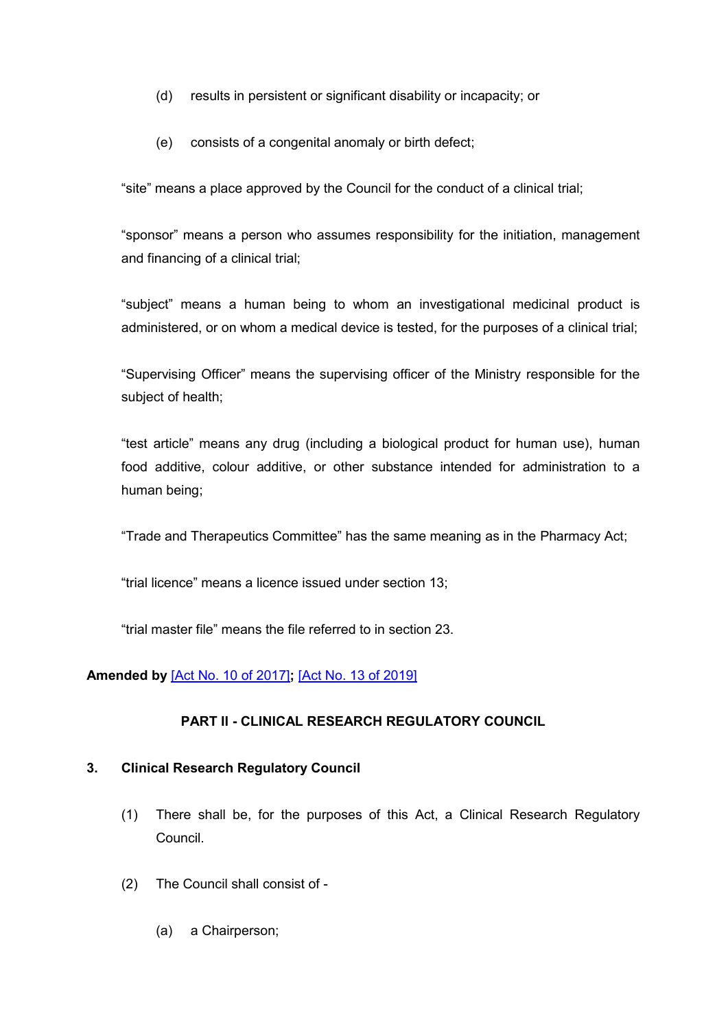- (d) results in persistent or significant disability or incapacity; or
- (e) consists of a congenital anomaly or birth defect;

"site" means a place approved by the Council for the conduct of a clinical trial;

"sponsor" means a person who assumes responsibility for the initiation, management and financing of a clinical trial;

"subject" means a human being to whom an investigational medicinal product is administered, or on whom a medical device is tested, for the purposes of a clinical trial;

"Supervising Officer" means the supervising officer of the Ministry responsible for the subject of health;

"test article" means any drug (including a biological product for human use), human food additive, colour additive, or other substance intended for administration to a human being;

"Trade and Therapeutics Committee" has the same meaning as in the Pharmacy Act;

"trial licence" means a licence issued under section 13;

"trial master file" means the file referred to in section 23.

## **Amended by** [\[Act No. 10 of 2017\]](https://supremecourt.govmu.org/get-doc-link/Act_No._10_of_2017)**;** [\[Act No. 13 of 2019\]](https://supremecourt.govmu.org/get-doc-link/Act_No._13_of_2019)

## **PART II - CLINICAL RESEARCH REGULATORY COUNCIL**

## <span id="page-8-0"></span>**3. Clinical Research Regulatory Council**

- (1) There shall be, for the purposes of this Act, a Clinical Research Regulatory Council.
- (2) The Council shall consist of
	- (a) a Chairperson;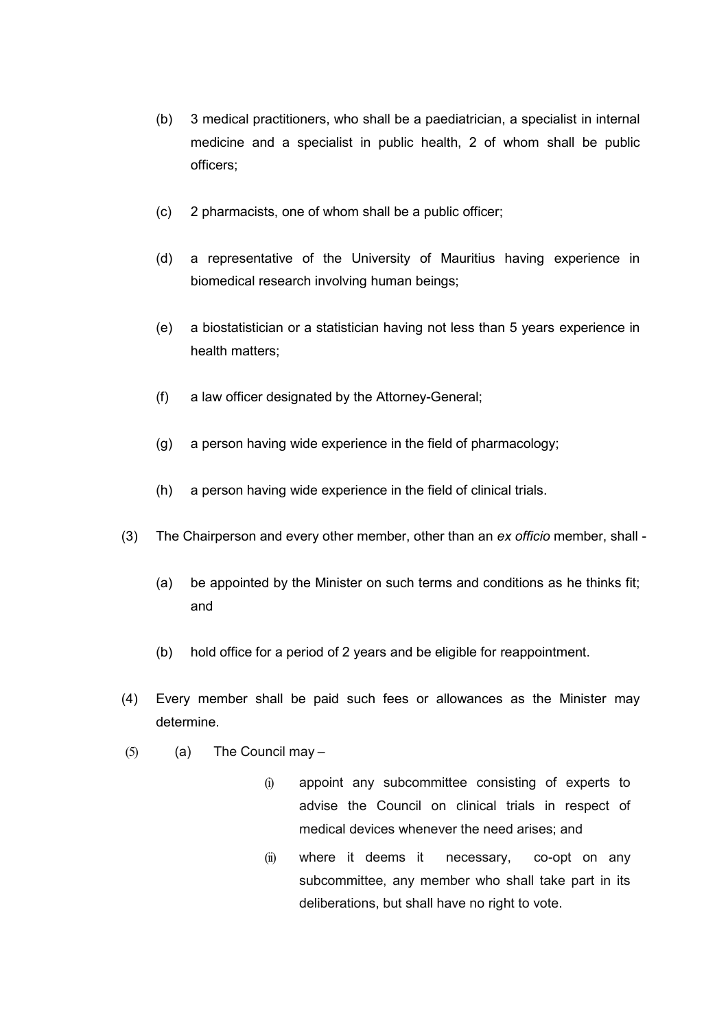- (b) 3 medical practitioners, who shall be a paediatrician, a specialist in internal medicine and a specialist in public health, 2 of whom shall be public officers;
- (c) 2 pharmacists, one of whom shall be a public officer;
- (d) a representative of the University of Mauritius having experience in biomedical research involving human beings;
- (e) a biostatistician or a statistician having not less than 5 years experience in health matters;
- (f) a law officer designated by the Attorney-General;
- (g) a person having wide experience in the field of pharmacology;
- (h) a person having wide experience in the field of clinical trials.
- (3) The Chairperson and every other member, other than an *ex officio* member, shall
	- (a) be appointed by the Minister on such terms and conditions as he thinks fit; and
	- (b) hold office for a period of 2 years and be eligible for reappointment.
- (4) Every member shall be paid such fees or allowances as the Minister may determine.
- $(5)$  (a) The Council may
	- (i) appoint any subcommittee consisting of experts to advise the Council on clinical trials in respect of medical devices whenever the need arises; and
	- (ii) where it deems it necessary, co-opt on any subcommittee, any member who shall take part in its deliberations, but shall have no right to vote.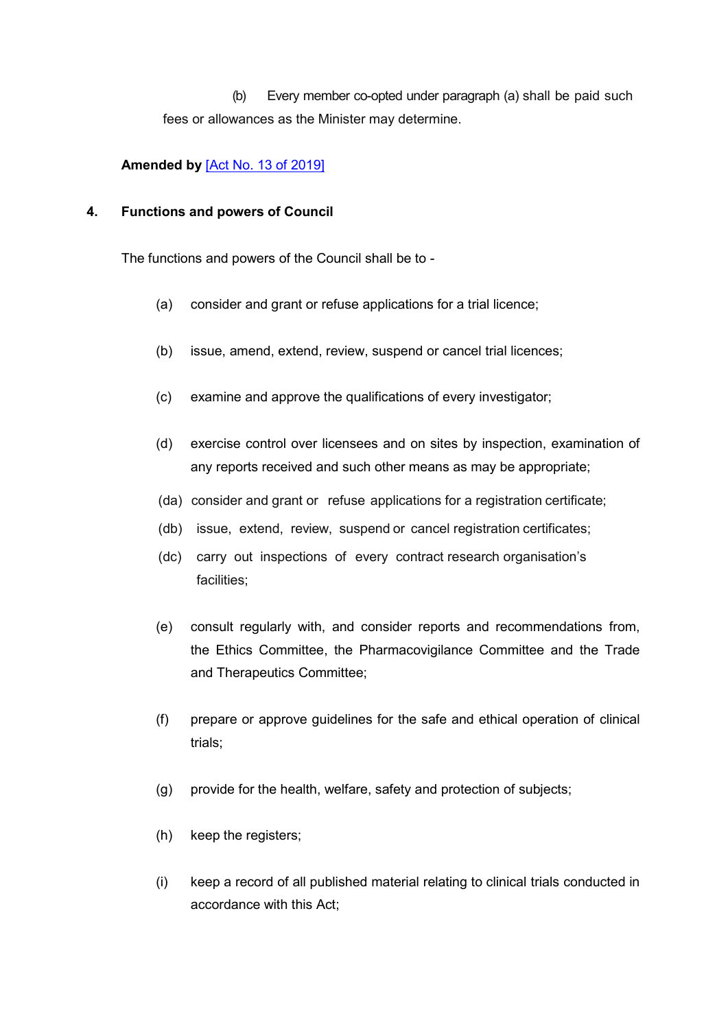(b) Every member co-opted under paragraph (a) shall be paid such fees or allowances as the Minister may determine.

## **Amended by** [\[Act No. 13 of 2019\]](https://supremecourt.govmu.org/get-doc-link/Act_No._13_of_2019)

### <span id="page-10-0"></span>**4. Functions and powers of Council**

The functions and powers of the Council shall be to -

- (a) consider and grant or refuse applications for a trial licence;
- (b) issue, amend, extend, review, suspend or cancel trial licences;
- (c) examine and approve the qualifications of every investigator;
- (d) exercise control over licensees and on sites by inspection, examination of any reports received and such other means as may be appropriate;
- (da) consider and grant or refuse applications for a registration certificate;
- (db) issue, extend, review, suspend or cancel registration certificates;
- (dc) carry out inspections of every contract research organisation's facilities;
- (e) consult regularly with, and consider reports and recommendations from, the Ethics Committee, the Pharmacovigilance Committee and the Trade and Therapeutics Committee;
- (f) prepare or approve guidelines for the safe and ethical operation of clinical trials;
- (g) provide for the health, welfare, safety and protection of subjects;
- (h) keep the registers;
- (i) keep a record of all published material relating to clinical trials conducted in accordance with this Act;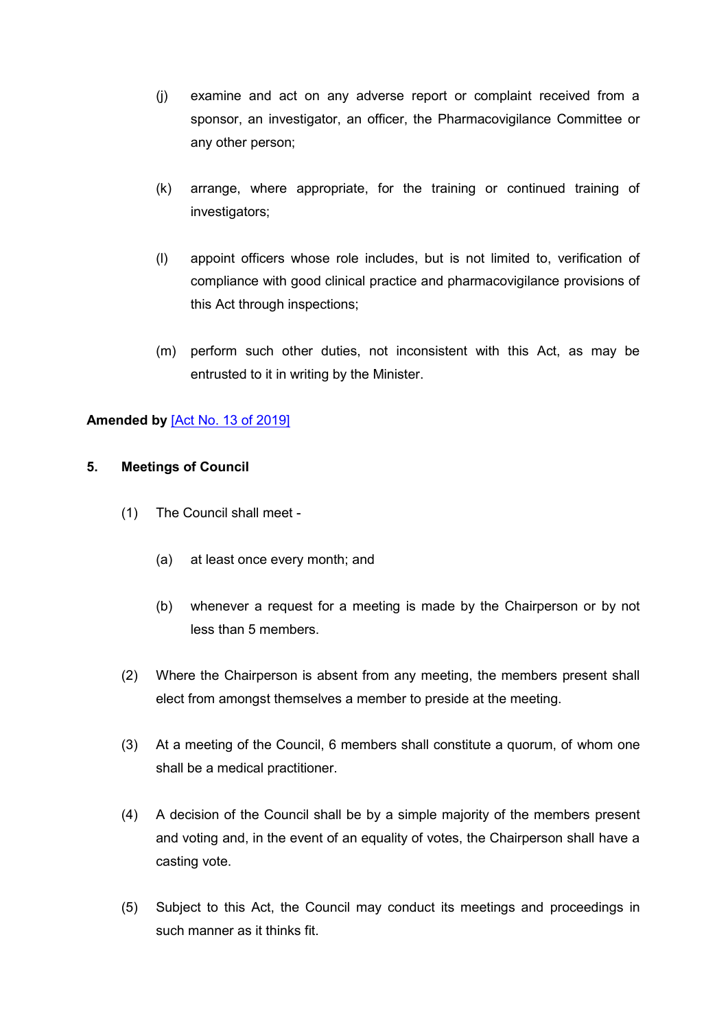- (j) examine and act on any adverse report or complaint received from a sponsor, an investigator, an officer, the Pharmacovigilance Committee or any other person;
- (k) arrange, where appropriate, for the training or continued training of investigators;
- (l) appoint officers whose role includes, but is not limited to, verification of compliance with good clinical practice and pharmacovigilance provisions of this Act through inspections;
- (m) perform such other duties, not inconsistent with this Act, as may be entrusted to it in writing by the Minister.

## **Amended by** [\[Act No. 13 of 2019\]](https://supremecourt.govmu.org/get-doc-link/Act_No._13_of_2019)

## <span id="page-11-0"></span>**5. Meetings of Council**

- (1) The Council shall meet
	- (a) at least once every month; and
	- (b) whenever a request for a meeting is made by the Chairperson or by not less than 5 members.
- (2) Where the Chairperson is absent from any meeting, the members present shall elect from amongst themselves a member to preside at the meeting.
- (3) At a meeting of the Council, 6 members shall constitute a quorum, of whom one shall be a medical practitioner.
- (4) A decision of the Council shall be by a simple majority of the members present and voting and, in the event of an equality of votes, the Chairperson shall have a casting vote.
- (5) Subject to this Act, the Council may conduct its meetings and proceedings in such manner as it thinks fit.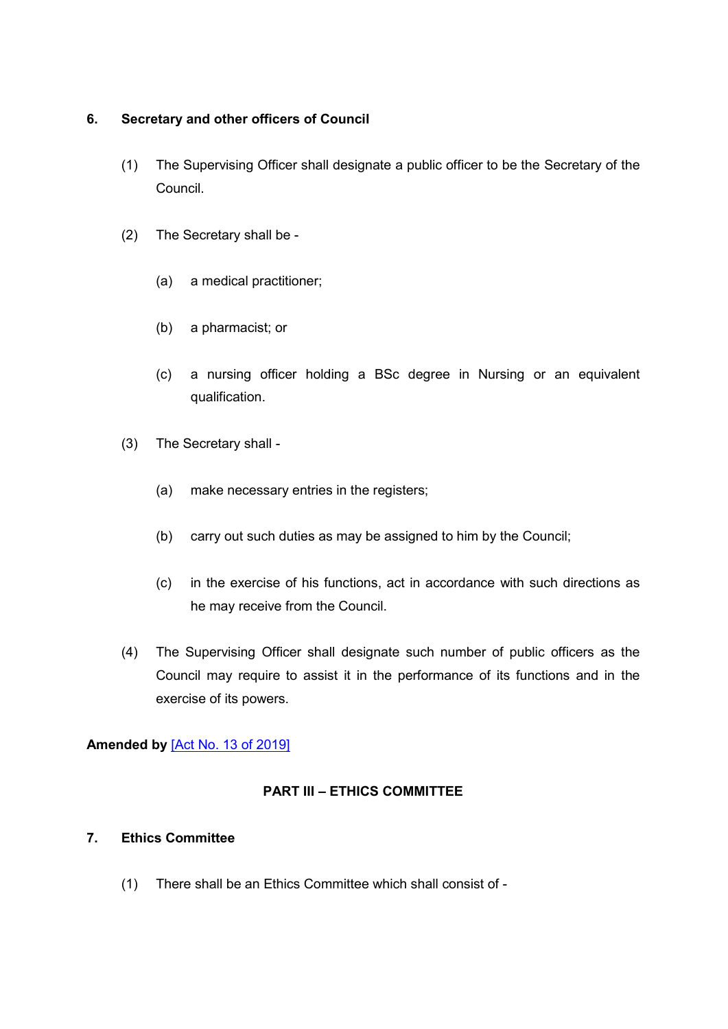## <span id="page-12-0"></span>**6. Secretary and other officers of Council**

- (1) The Supervising Officer shall designate a public officer to be the Secretary of the Council.
- (2) The Secretary shall be
	- (a) a medical practitioner;
	- (b) a pharmacist; or
	- (c) a nursing officer holding a BSc degree in Nursing or an equivalent qualification.
- (3) The Secretary shall
	- (a) make necessary entries in the registers;
	- (b) carry out such duties as may be assigned to him by the Council;
	- (c) in the exercise of his functions, act in accordance with such directions as he may receive from the Council.
- (4) The Supervising Officer shall designate such number of public officers as the Council may require to assist it in the performance of its functions and in the exercise of its powers.

# **Amended by** [\[Act No. 13 of 2019\]](https://supremecourt.govmu.org/get-doc-link/Act_No._13_of_2019)

## **PART III – ETHICS COMMITTEE**

## <span id="page-12-1"></span>**7. Ethics Committee**

(1) There shall be an Ethics Committee which shall consist of -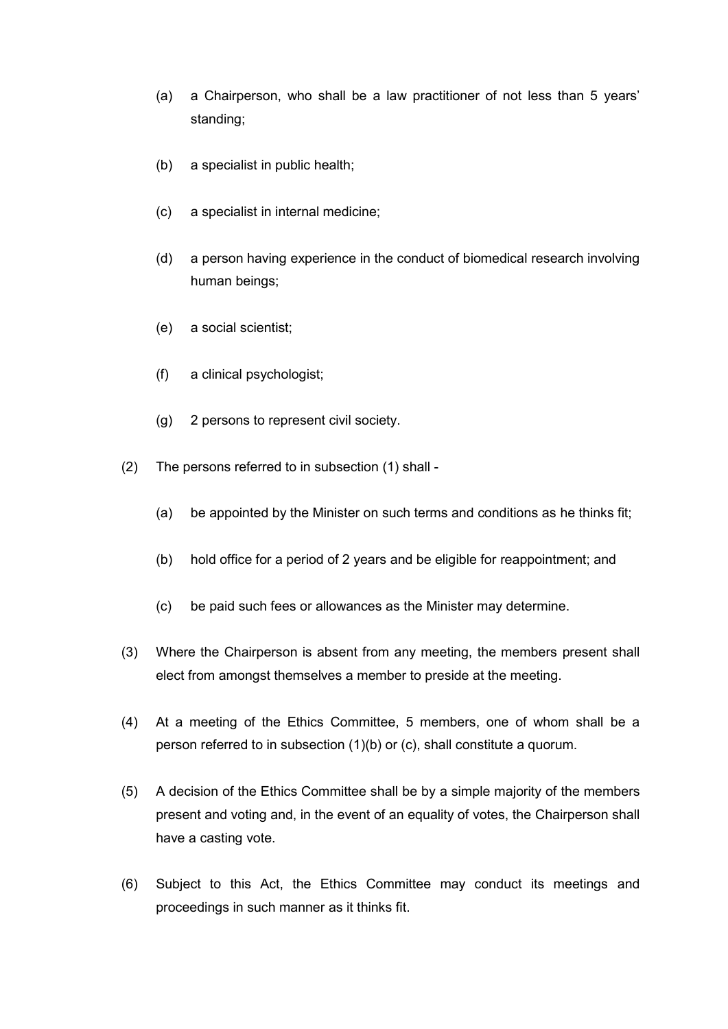- (a) a Chairperson, who shall be a law practitioner of not less than 5 years' standing;
- (b) a specialist in public health;
- (c) a specialist in internal medicine;
- (d) a person having experience in the conduct of biomedical research involving human beings;
- (e) a social scientist;
- (f) a clinical psychologist;
- (g) 2 persons to represent civil society.
- (2) The persons referred to in subsection (1) shall
	- (a) be appointed by the Minister on such terms and conditions as he thinks fit;
	- (b) hold office for a period of 2 years and be eligible for reappointment; and
	- (c) be paid such fees or allowances as the Minister may determine.
- (3) Where the Chairperson is absent from any meeting, the members present shall elect from amongst themselves a member to preside at the meeting.
- (4) At a meeting of the Ethics Committee, 5 members, one of whom shall be a person referred to in subsection (1)(b) or (c), shall constitute a quorum.
- (5) A decision of the Ethics Committee shall be by a simple majority of the members present and voting and, in the event of an equality of votes, the Chairperson shall have a casting vote.
- (6) Subject to this Act, the Ethics Committee may conduct its meetings and proceedings in such manner as it thinks fit.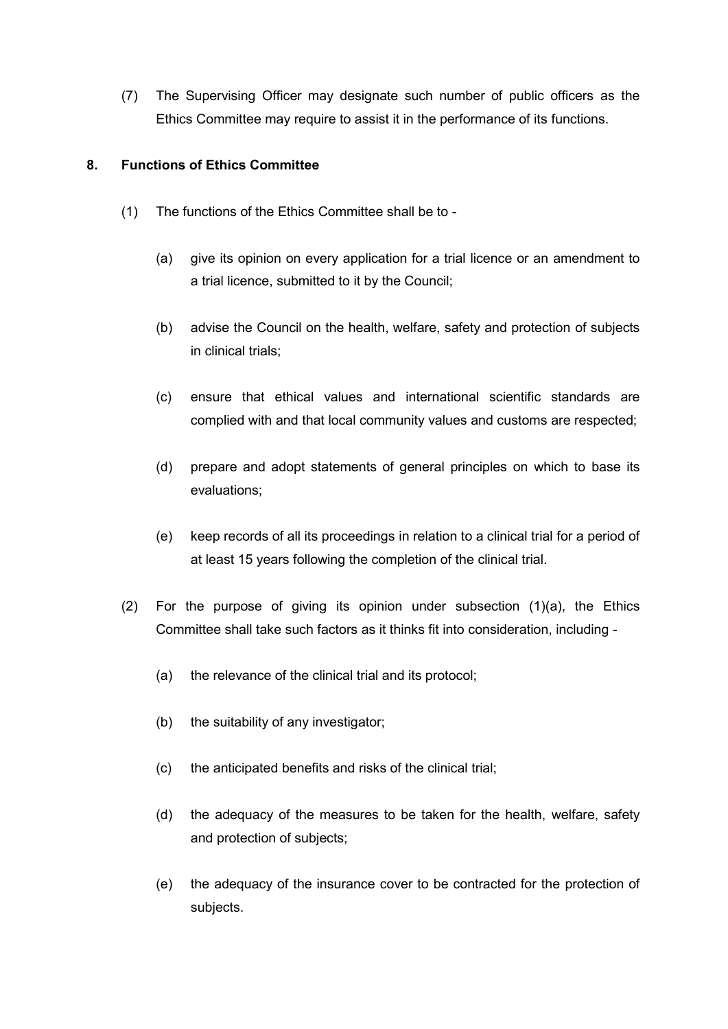(7) The Supervising Officer may designate such number of public officers as the Ethics Committee may require to assist it in the performance of its functions.

## <span id="page-14-0"></span>**8. Functions of Ethics Committee**

- (1) The functions of the Ethics Committee shall be to
	- (a) give its opinion on every application for a trial licence or an amendment to a trial licence, submitted to it by the Council;
	- (b) advise the Council on the health, welfare, safety and protection of subjects in clinical trials;
	- (c) ensure that ethical values and international scientific standards are complied with and that local community values and customs are respected;
	- (d) prepare and adopt statements of general principles on which to base its evaluations;
	- (e) keep records of all its proceedings in relation to a clinical trial for a period of at least 15 years following the completion of the clinical trial.
- (2) For the purpose of giving its opinion under subsection (1)(a), the Ethics Committee shall take such factors as it thinks fit into consideration, including -
	- (a) the relevance of the clinical trial and its protocol;
	- (b) the suitability of any investigator;
	- (c) the anticipated benefits and risks of the clinical trial;
	- (d) the adequacy of the measures to be taken for the health, welfare, safety and protection of subjects;
	- (e) the adequacy of the insurance cover to be contracted for the protection of subjects.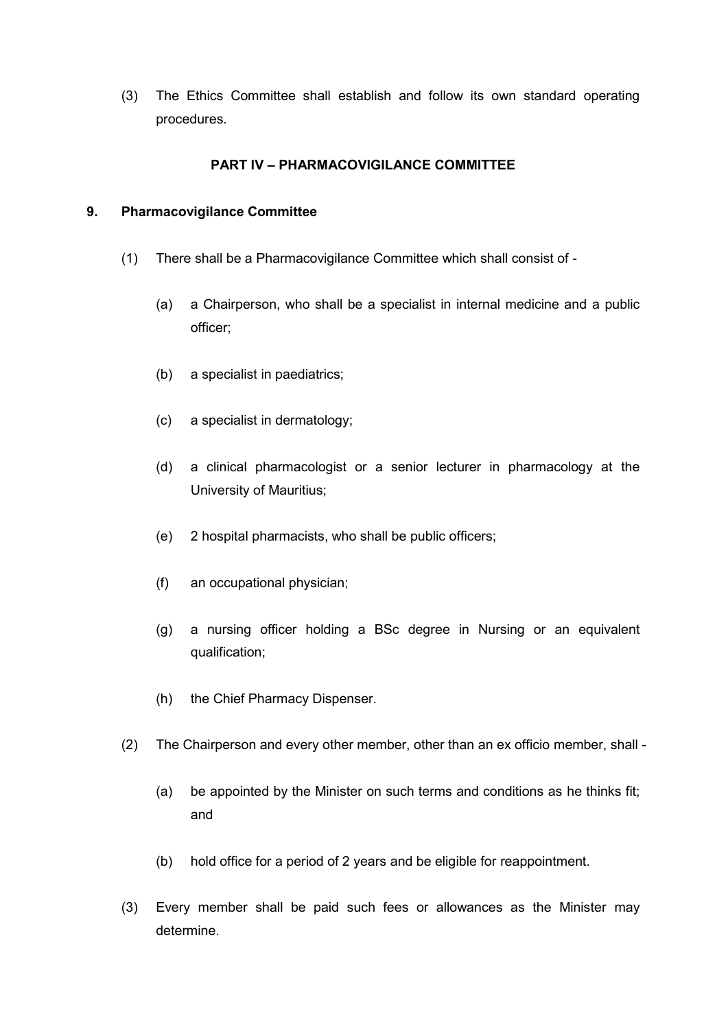(3) The Ethics Committee shall establish and follow its own standard operating procedures.

## **PART IV – PHARMACOVIGILANCE COMMITTEE**

## <span id="page-15-0"></span>**9. Pharmacovigilance Committee**

- (1) There shall be a Pharmacovigilance Committee which shall consist of
	- (a) a Chairperson, who shall be a specialist in internal medicine and a public officer;
	- (b) a specialist in paediatrics;
	- (c) a specialist in dermatology;
	- (d) a clinical pharmacologist or a senior lecturer in pharmacology at the University of Mauritius;
	- (e) 2 hospital pharmacists, who shall be public officers;
	- (f) an occupational physician;
	- (g) a nursing officer holding a BSc degree in Nursing or an equivalent qualification;
	- (h) the Chief Pharmacy Dispenser.
- (2) The Chairperson and every other member, other than an ex officio member, shall
	- (a) be appointed by the Minister on such terms and conditions as he thinks fit; and
	- (b) hold office for a period of 2 years and be eligible for reappointment.
- (3) Every member shall be paid such fees or allowances as the Minister may determine.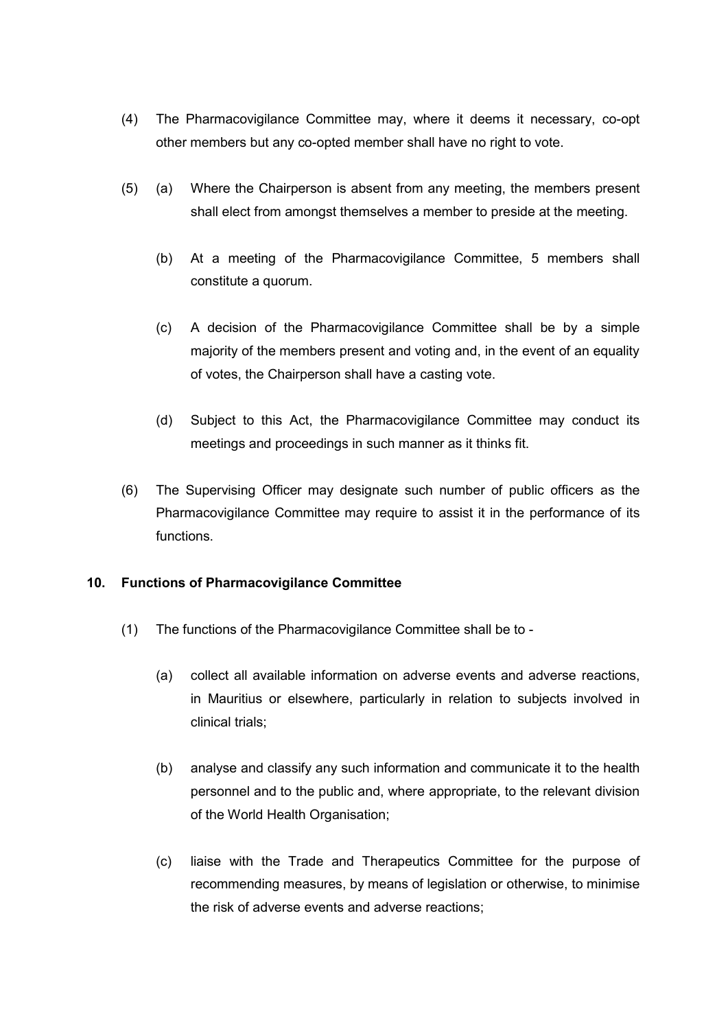- (4) The Pharmacovigilance Committee may, where it deems it necessary, co-opt other members but any co-opted member shall have no right to vote.
- (5) (a) Where the Chairperson is absent from any meeting, the members present shall elect from amongst themselves a member to preside at the meeting.
	- (b) At a meeting of the Pharmacovigilance Committee, 5 members shall constitute a quorum.
	- (c) A decision of the Pharmacovigilance Committee shall be by a simple majority of the members present and voting and, in the event of an equality of votes, the Chairperson shall have a casting vote.
	- (d) Subject to this Act, the Pharmacovigilance Committee may conduct its meetings and proceedings in such manner as it thinks fit.
- (6) The Supervising Officer may designate such number of public officers as the Pharmacovigilance Committee may require to assist it in the performance of its functions.

## <span id="page-16-0"></span>**10. Functions of Pharmacovigilance Committee**

- (1) The functions of the Pharmacovigilance Committee shall be to
	- (a) collect all available information on adverse events and adverse reactions, in Mauritius or elsewhere, particularly in relation to subjects involved in clinical trials;
	- (b) analyse and classify any such information and communicate it to the health personnel and to the public and, where appropriate, to the relevant division of the World Health Organisation;
	- (c) liaise with the Trade and Therapeutics Committee for the purpose of recommending measures, by means of legislation or otherwise, to minimise the risk of adverse events and adverse reactions;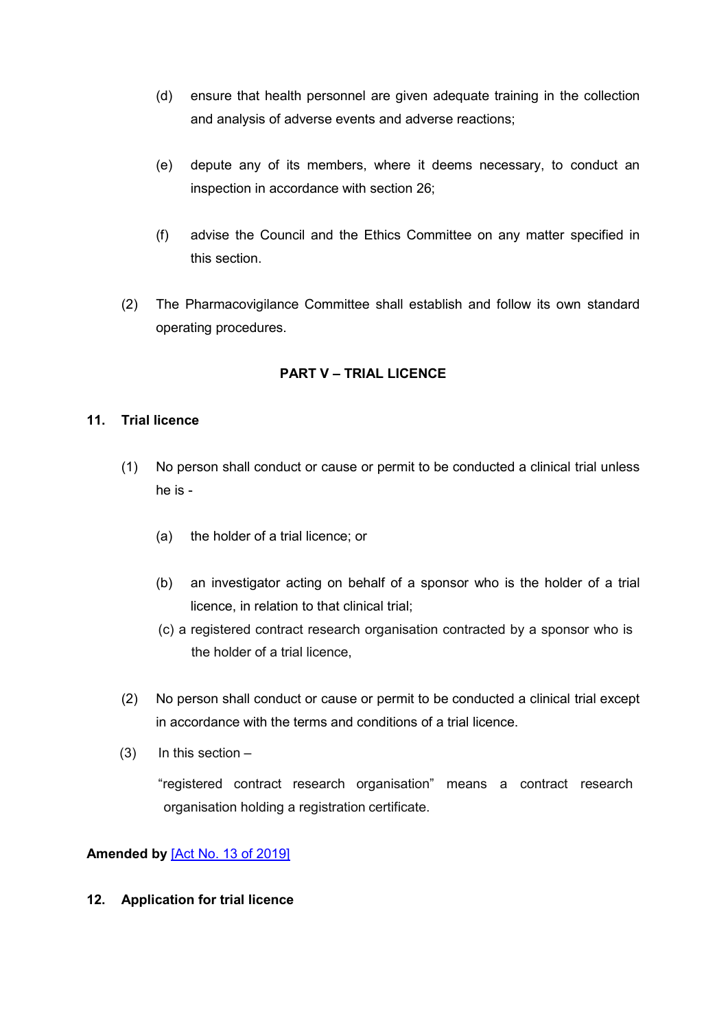- (d) ensure that health personnel are given adequate training in the collection and analysis of adverse events and adverse reactions;
- (e) depute any of its members, where it deems necessary, to conduct an inspection in accordance with section 26;
- (f) advise the Council and the Ethics Committee on any matter specified in this section.
- (2) The Pharmacovigilance Committee shall establish and follow its own standard operating procedures.

# **PART V – TRIAL LICENCE**

## <span id="page-17-0"></span>**11. Trial licence**

- (1) No person shall conduct or cause or permit to be conducted a clinical trial unless he is -
	- (a) the holder of a trial licence; or
	- (b) an investigator acting on behalf of a sponsor who is the holder of a trial licence, in relation to that clinical trial;
	- (c) a registered contract research organisation contracted by a sponsor who is the holder of a trial licence,
- (2) No person shall conduct or cause or permit to be conducted a clinical trial except in accordance with the terms and conditions of a trial licence.
- $(3)$  In this section –

"registered contract research organisation" means a contract research organisation holding a registration certificate.

**Amended by** [\[Act No. 13 of 2019\]](https://supremecourt.govmu.org/get-doc-link/Act_No._13_of_2019)

## **12. Application for trial licence**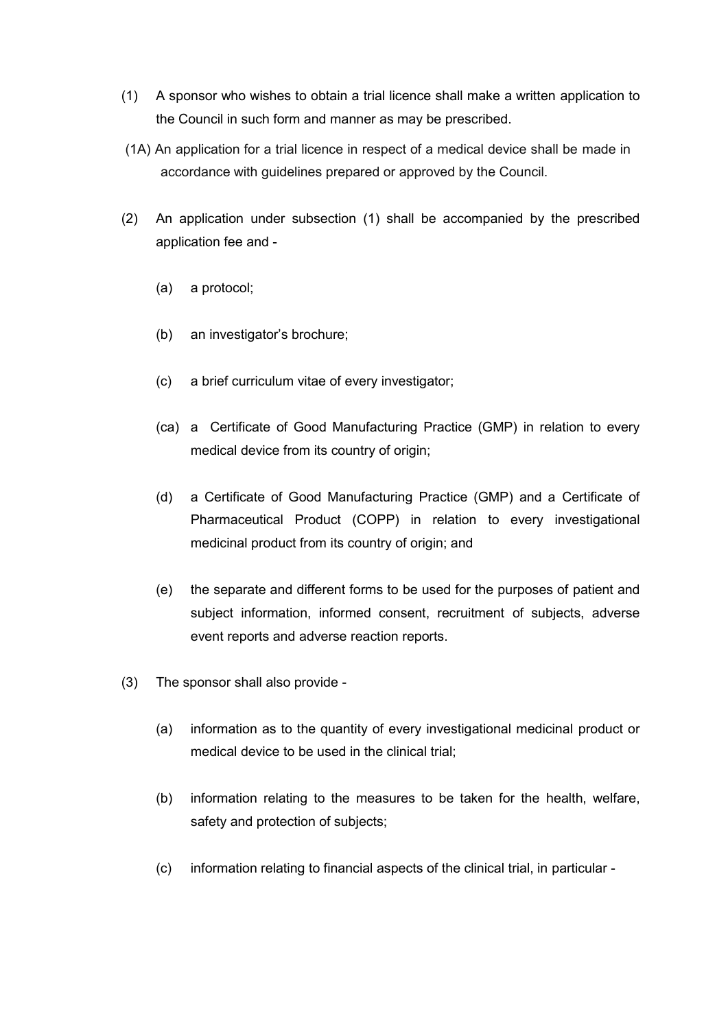- (1) A sponsor who wishes to obtain a trial licence shall make a written application to the Council in such form and manner as may be prescribed.
- (1A) An application for a trial licence in respect of a medical device shall be made in accordance with guidelines prepared or approved by the Council.
- (2) An application under subsection (1) shall be accompanied by the prescribed application fee and -
	- (a) a protocol;
	- (b) an investigator's brochure;
	- (c) a brief curriculum vitae of every investigator;
	- (ca) a Certificate of Good Manufacturing Practice (GMP) in relation to every medical device from its country of origin;
	- (d) a Certificate of Good Manufacturing Practice (GMP) and a Certificate of Pharmaceutical Product (COPP) in relation to every investigational medicinal product from its country of origin; and
	- (e) the separate and different forms to be used for the purposes of patient and subject information, informed consent, recruitment of subjects, adverse event reports and adverse reaction reports.
- (3) The sponsor shall also provide
	- (a) information as to the quantity of every investigational medicinal product or medical device to be used in the clinical trial;
	- (b) information relating to the measures to be taken for the health, welfare, safety and protection of subjects;
	- (c) information relating to financial aspects of the clinical trial, in particular -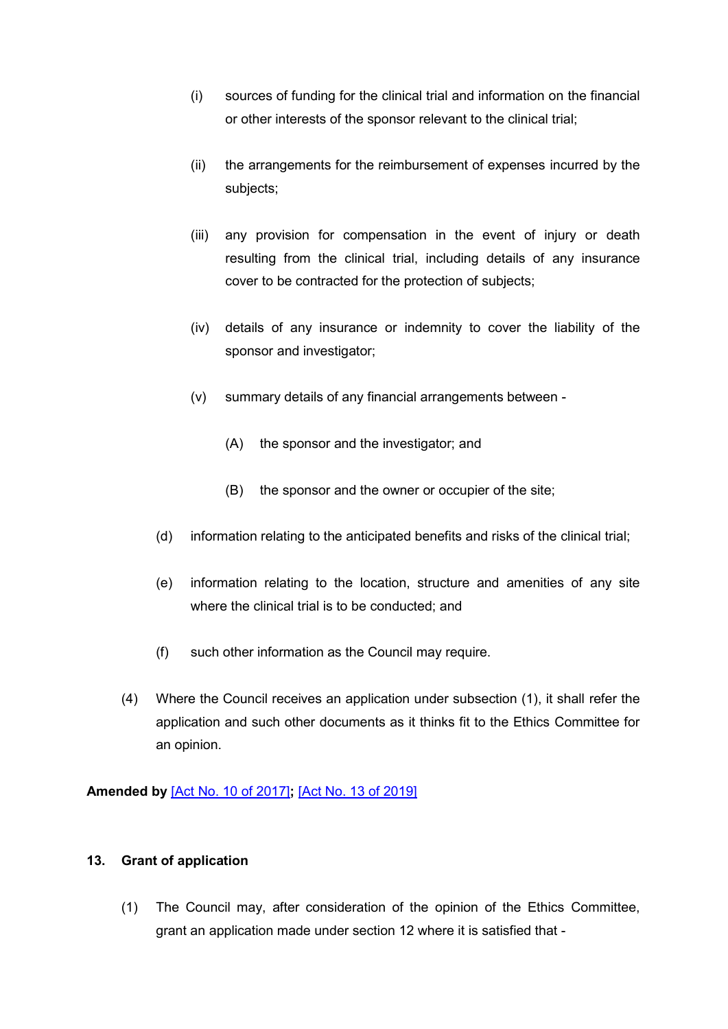- (i) sources of funding for the clinical trial and information on the financial or other interests of the sponsor relevant to the clinical trial;
- (ii) the arrangements for the reimbursement of expenses incurred by the subjects;
- (iii) any provision for compensation in the event of injury or death resulting from the clinical trial, including details of any insurance cover to be contracted for the protection of subjects;
- (iv) details of any insurance or indemnity to cover the liability of the sponsor and investigator;
- (v) summary details of any financial arrangements between
	- (A) the sponsor and the investigator; and
	- (B) the sponsor and the owner or occupier of the site;
- (d) information relating to the anticipated benefits and risks of the clinical trial;
- (e) information relating to the location, structure and amenities of any site where the clinical trial is to be conducted; and
- (f) such other information as the Council may require.
- (4) Where the Council receives an application under subsection (1), it shall refer the application and such other documents as it thinks fit to the Ethics Committee for an opinion.

<span id="page-19-0"></span>**Amended by** [\[Act No. 10 of 2017\]](https://supremecourt.govmu.org/get-doc-link/Act_No._10_of_2017)**;** [\[Act No. 13 of 2019\]](https://supremecourt.govmu.org/get-doc-link/Act_No._13_of_2019)

## **13. Grant of application**

(1) The Council may, after consideration of the opinion of the Ethics Committee, grant an application made under section 12 where it is satisfied that -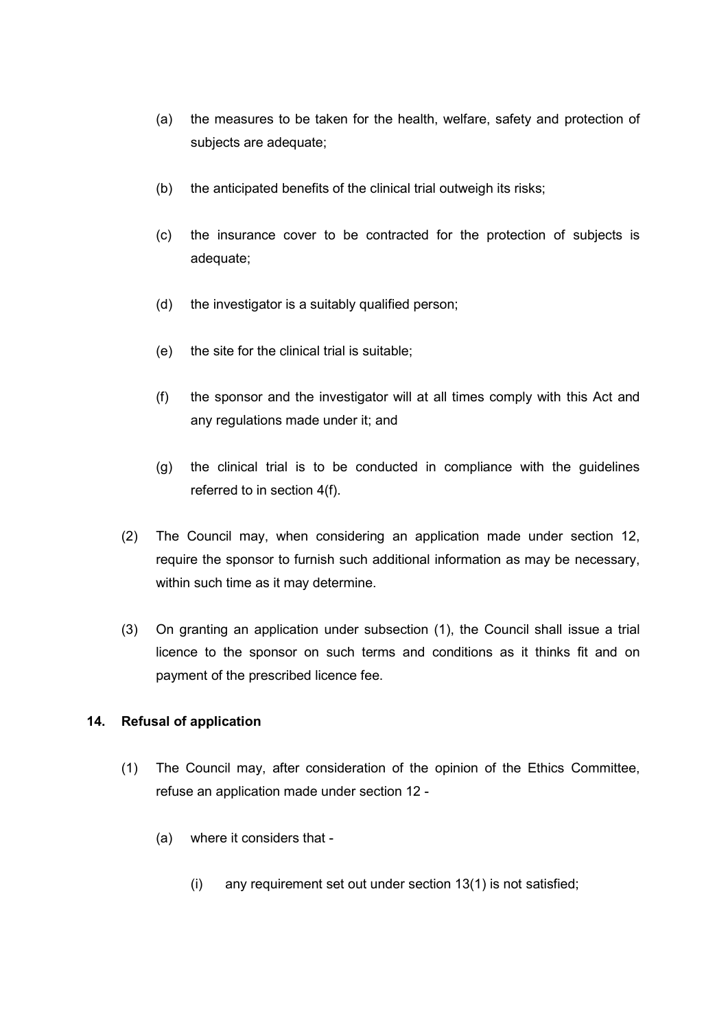- (a) the measures to be taken for the health, welfare, safety and protection of subjects are adequate;
- (b) the anticipated benefits of the clinical trial outweigh its risks;
- (c) the insurance cover to be contracted for the protection of subjects is adequate;
- (d) the investigator is a suitably qualified person;
- (e) the site for the clinical trial is suitable;
- (f) the sponsor and the investigator will at all times comply with this Act and any regulations made under it; and
- (g) the clinical trial is to be conducted in compliance with the guidelines referred to in section 4(f).
- (2) The Council may, when considering an application made under section 12, require the sponsor to furnish such additional information as may be necessary, within such time as it may determine.
- (3) On granting an application under subsection (1), the Council shall issue a trial licence to the sponsor on such terms and conditions as it thinks fit and on payment of the prescribed licence fee.

# <span id="page-20-0"></span>**14. Refusal of application**

- (1) The Council may, after consideration of the opinion of the Ethics Committee, refuse an application made under section 12 -
	- (a) where it considers that
		- (i) any requirement set out under section 13(1) is not satisfied;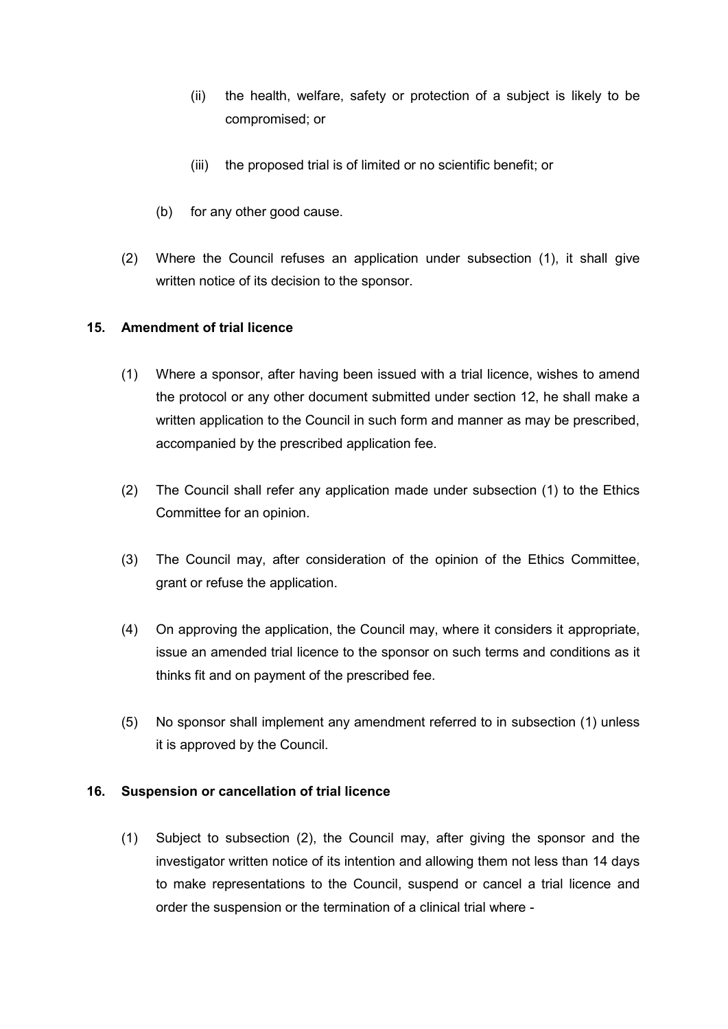- (ii) the health, welfare, safety or protection of a subject is likely to be compromised; or
- (iii) the proposed trial is of limited or no scientific benefit; or
- (b) for any other good cause.
- (2) Where the Council refuses an application under subsection (1), it shall give written notice of its decision to the sponsor.

## <span id="page-21-0"></span>**15. Amendment of trial licence**

- (1) Where a sponsor, after having been issued with a trial licence, wishes to amend the protocol or any other document submitted under section 12, he shall make a written application to the Council in such form and manner as may be prescribed, accompanied by the prescribed application fee.
- (2) The Council shall refer any application made under subsection (1) to the Ethics Committee for an opinion.
- (3) The Council may, after consideration of the opinion of the Ethics Committee, grant or refuse the application.
- (4) On approving the application, the Council may, where it considers it appropriate, issue an amended trial licence to the sponsor on such terms and conditions as it thinks fit and on payment of the prescribed fee.
- (5) No sponsor shall implement any amendment referred to in subsection (1) unless it is approved by the Council.

## <span id="page-21-1"></span>**16. Suspension or cancellation of trial licence**

(1) Subject to subsection (2), the Council may, after giving the sponsor and the investigator written notice of its intention and allowing them not less than 14 days to make representations to the Council, suspend or cancel a trial licence and order the suspension or the termination of a clinical trial where -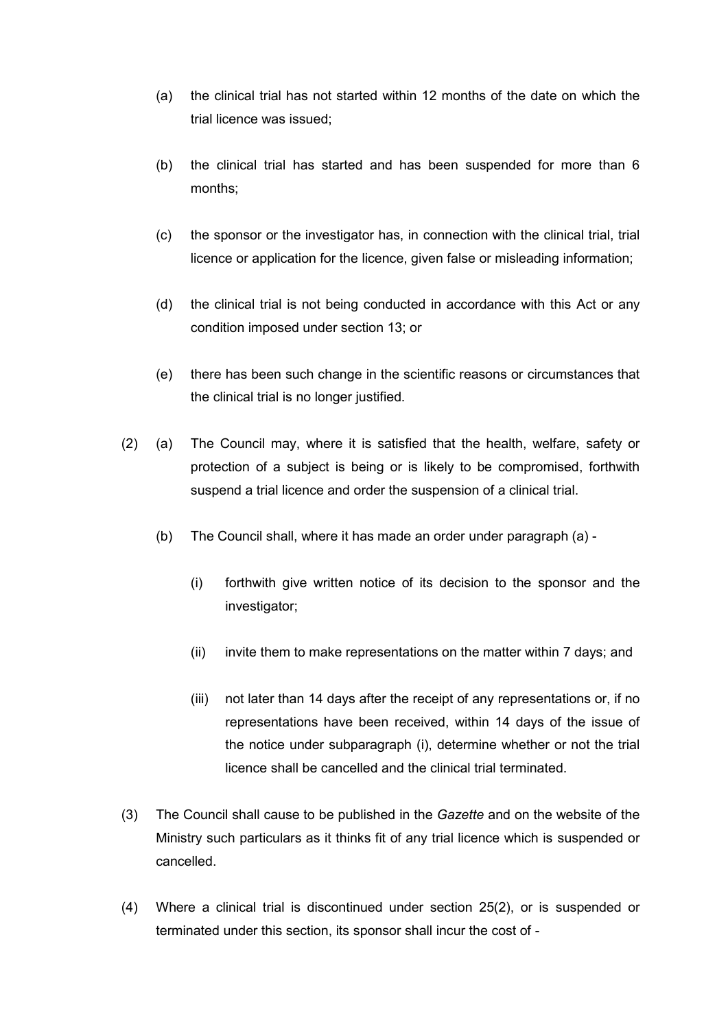- (a) the clinical trial has not started within 12 months of the date on which the trial licence was issued;
- (b) the clinical trial has started and has been suspended for more than 6 months;
- (c) the sponsor or the investigator has, in connection with the clinical trial, trial licence or application for the licence, given false or misleading information;
- (d) the clinical trial is not being conducted in accordance with this Act or any condition imposed under section 13; or
- (e) there has been such change in the scientific reasons or circumstances that the clinical trial is no longer justified.
- (2) (a) The Council may, where it is satisfied that the health, welfare, safety or protection of a subject is being or is likely to be compromised, forthwith suspend a trial licence and order the suspension of a clinical trial.
	- (b) The Council shall, where it has made an order under paragraph (a)
		- (i) forthwith give written notice of its decision to the sponsor and the investigator;
		- (ii) invite them to make representations on the matter within 7 days; and
		- (iii) not later than 14 days after the receipt of any representations or, if no representations have been received, within 14 days of the issue of the notice under subparagraph (i), determine whether or not the trial licence shall be cancelled and the clinical trial terminated.
- (3) The Council shall cause to be published in the *Gazette* and on the website of the Ministry such particulars as it thinks fit of any trial licence which is suspended or cancelled.
- (4) Where a clinical trial is discontinued under section 25(2), or is suspended or terminated under this section, its sponsor shall incur the cost of -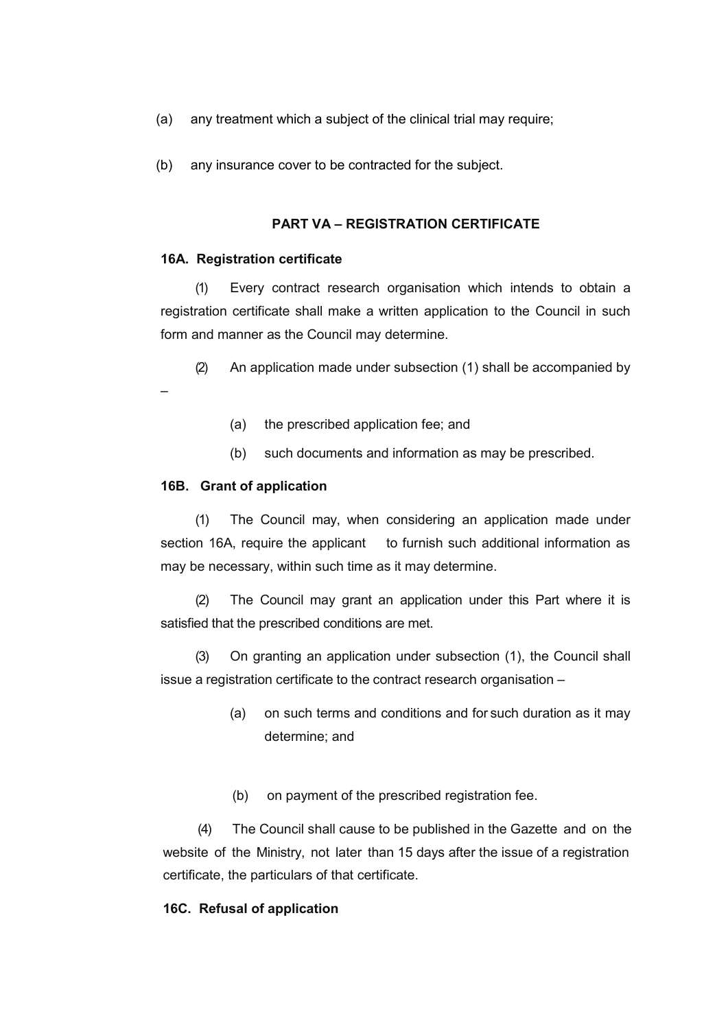- (a) any treatment which a subject of the clinical trial may require;
- (b) any insurance cover to be contracted for the subject.

### **PART VA – REGISTRATION CERTIFICATE**

#### **16A. Registration certificate**

(1) Every contract research organisation which intends to obtain a registration certificate shall make a written application to the Council in such form and manner as the Council may determine.

(2) An application made under subsection (1) shall be accompanied by –

- (a) the prescribed application fee; and
- (b) such documents and information as may be prescribed.

#### **16B. Grant of application**

(1) The Council may, when considering an application made under section 16A, require the applicant to furnish such additional information as may be necessary, within such time as it may determine.

(2) The Council may grant an application under this Part where it is satisfied that the prescribed conditions are met.

(3) On granting an application under subsection (1), the Council shall issue a registration certificate to the contract research organisation –

- (a) on such terms and conditions and for such duration as it may determine; and
- (b) on payment of the prescribed registration fee.

(4) The Council shall cause to be published in the Gazette and on the website of the Ministry, not later than 15 days after the issue of a registration certificate, the particulars of that certificate.

#### **16C. Refusal of application**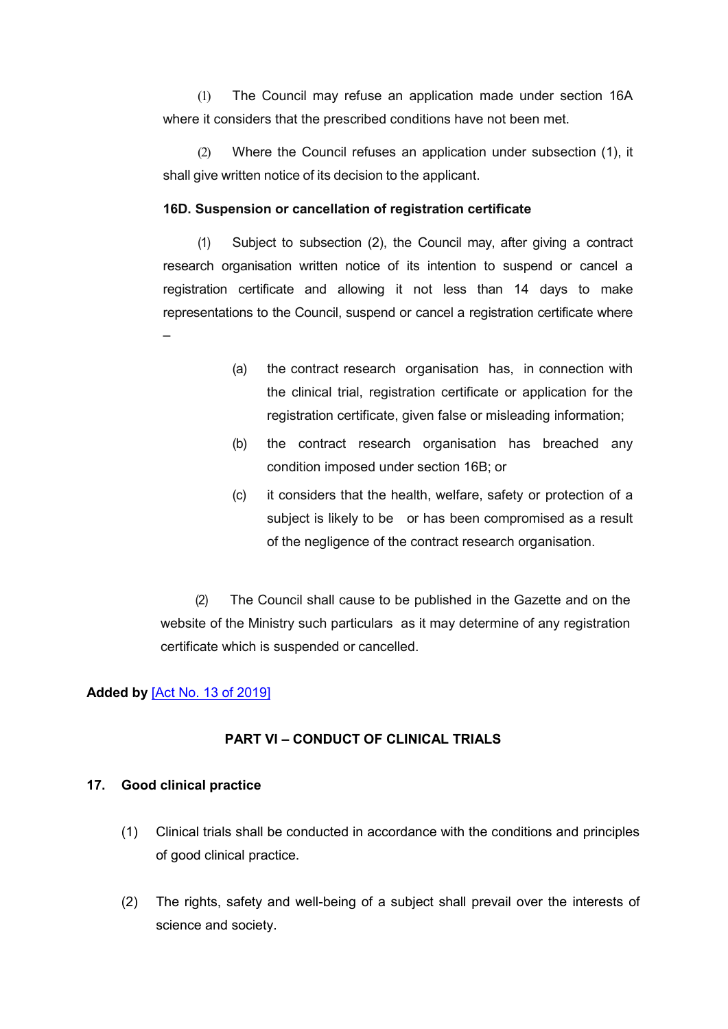(1) The Council may refuse an application made under section 16A where it considers that the prescribed conditions have not been met.

(2) Where the Council refuses an application under subsection (1), it shall give written notice of its decision to the applicant.

#### **16D. Suspension or cancellation of registration certificate**

(1) Subject to subsection (2), the Council may, after giving a contract research organisation written notice of its intention to suspend or cancel a registration certificate and allowing it not less than 14 days to make representations to the Council, suspend or cancel a registration certificate where –

- (a) the contract research organisation has, in connection with the clinical trial, registration certificate or application for the registration certificate, given false or misleading information;
- (b) the contract research organisation has breached any condition imposed under section 16B; or
- (c) it considers that the health, welfare, safety or protection of a subject is likely to be or has been compromised as a result of the negligence of the contract research organisation.

(2) The Council shall cause to be published in the Gazette and on the website of the Ministry such particulars as it may determine of any registration certificate which is suspended or cancelled.

#### **Added by** [\[Act No. 13 of 2019\]](https://supremecourt.govmu.org/get-doc-link/Act_No._13_of_2019)

#### **PART VI – CONDUCT OF CLINICAL TRIALS**

### <span id="page-24-0"></span>**17. Good clinical practice**

- (1) Clinical trials shall be conducted in accordance with the conditions and principles of good clinical practice.
- (2) The rights, safety and well-being of a subject shall prevail over the interests of science and society.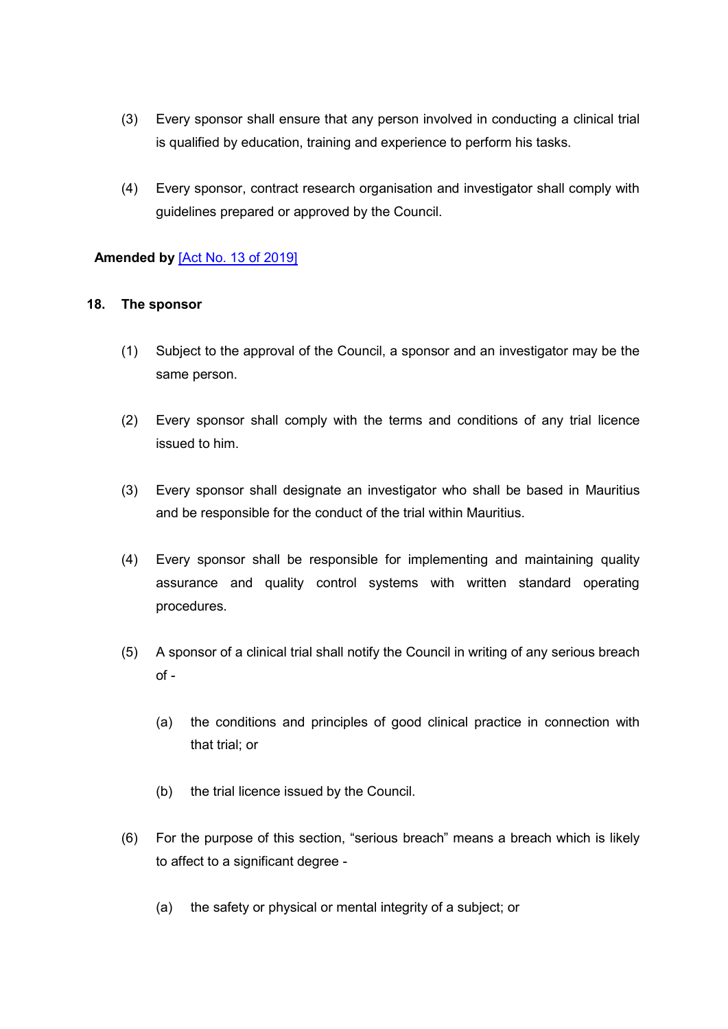- (3) Every sponsor shall ensure that any person involved in conducting a clinical trial is qualified by education, training and experience to perform his tasks.
- (4) Every sponsor, contract research organisation and investigator shall comply with guidelines prepared or approved by the Council.

## **Amended by** [\[Act No. 13 of 2019\]](https://supremecourt.govmu.org/get-doc-link/Act_No._13_of_2019)

## <span id="page-25-0"></span>**18. The sponsor**

- (1) Subject to the approval of the Council, a sponsor and an investigator may be the same person.
- (2) Every sponsor shall comply with the terms and conditions of any trial licence issued to him.
- (3) Every sponsor shall designate an investigator who shall be based in Mauritius and be responsible for the conduct of the trial within Mauritius.
- (4) Every sponsor shall be responsible for implementing and maintaining quality assurance and quality control systems with written standard operating procedures.
- (5) A sponsor of a clinical trial shall notify the Council in writing of any serious breach of -
	- (a) the conditions and principles of good clinical practice in connection with that trial; or
	- (b) the trial licence issued by the Council.
- (6) For the purpose of this section, "serious breach" means a breach which is likely to affect to a significant degree -
	- (a) the safety or physical or mental integrity of a subject; or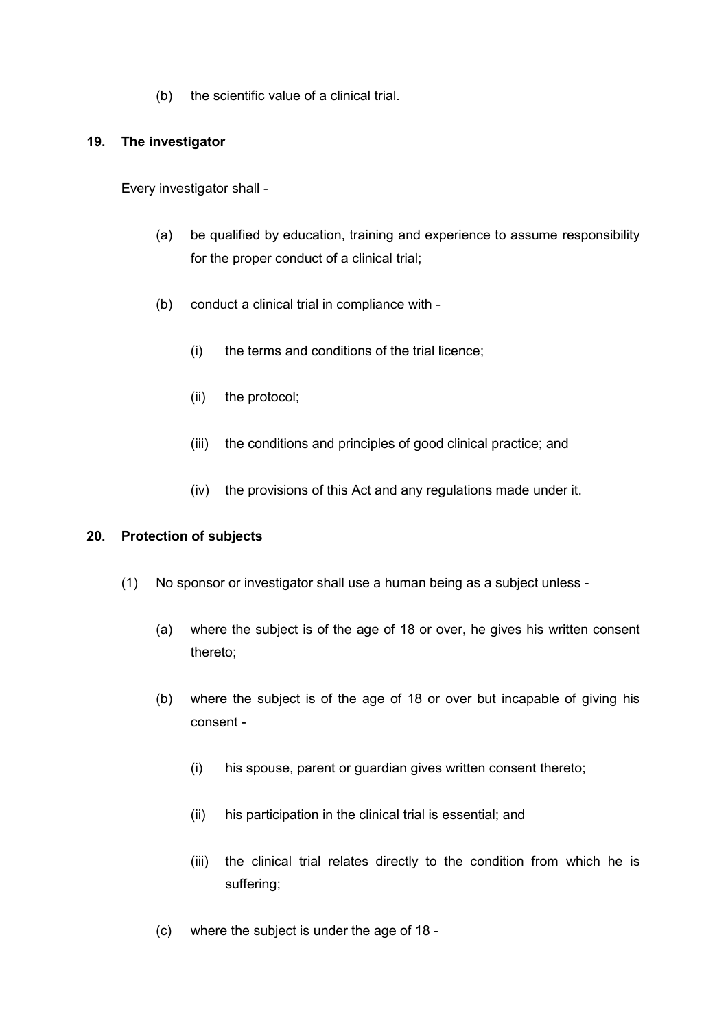(b) the scientific value of a clinical trial.

### <span id="page-26-0"></span>**19. The investigator**

Every investigator shall -

- (a) be qualified by education, training and experience to assume responsibility for the proper conduct of a clinical trial;
- (b) conduct a clinical trial in compliance with
	- (i) the terms and conditions of the trial licence;
	- (ii) the protocol;
	- (iii) the conditions and principles of good clinical practice; and
	- (iv) the provisions of this Act and any regulations made under it.

## <span id="page-26-1"></span>**20. Protection of subjects**

- (1) No sponsor or investigator shall use a human being as a subject unless
	- (a) where the subject is of the age of 18 or over, he gives his written consent thereto;
	- (b) where the subject is of the age of 18 or over but incapable of giving his consent -
		- (i) his spouse, parent or guardian gives written consent thereto;
		- (ii) his participation in the clinical trial is essential; and
		- (iii) the clinical trial relates directly to the condition from which he is suffering;
	- (c) where the subject is under the age of 18 -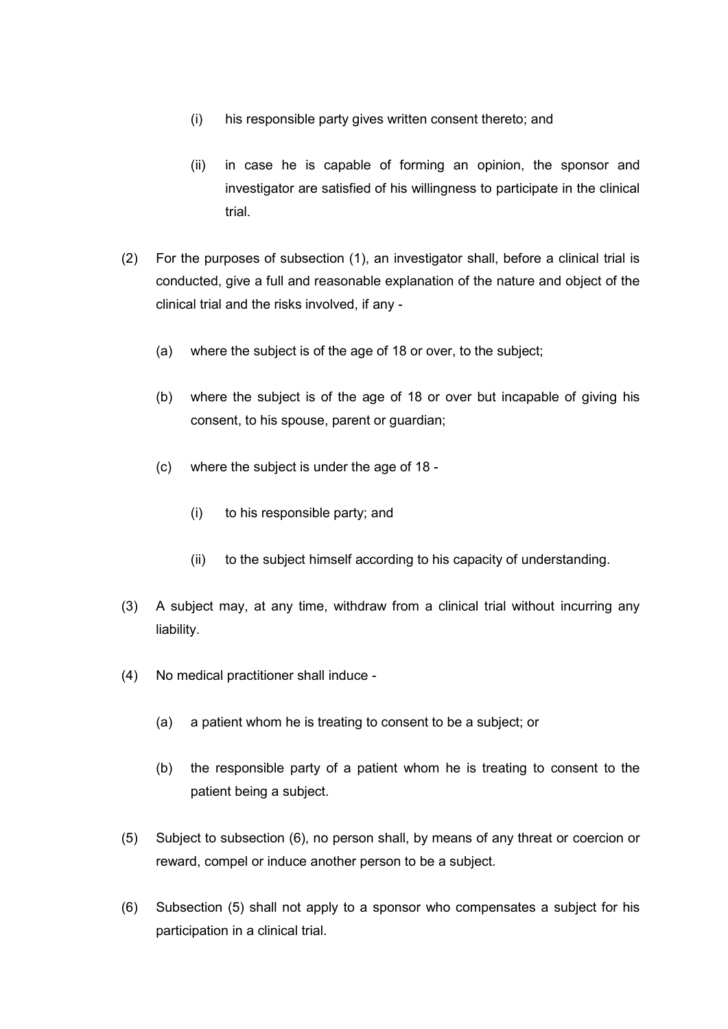- (i) his responsible party gives written consent thereto; and
- (ii) in case he is capable of forming an opinion, the sponsor and investigator are satisfied of his willingness to participate in the clinical trial.
- (2) For the purposes of subsection (1), an investigator shall, before a clinical trial is conducted, give a full and reasonable explanation of the nature and object of the clinical trial and the risks involved, if any -
	- (a) where the subject is of the age of 18 or over, to the subject;
	- (b) where the subject is of the age of 18 or over but incapable of giving his consent, to his spouse, parent or guardian;
	- (c) where the subject is under the age of 18
		- (i) to his responsible party; and
		- (ii) to the subject himself according to his capacity of understanding.
- (3) A subject may, at any time, withdraw from a clinical trial without incurring any liability.
- (4) No medical practitioner shall induce
	- (a) a patient whom he is treating to consent to be a subject; or
	- (b) the responsible party of a patient whom he is treating to consent to the patient being a subject.
- (5) Subject to subsection (6), no person shall, by means of any threat or coercion or reward, compel or induce another person to be a subject.
- (6) Subsection (5) shall not apply to a sponsor who compensates a subject for his participation in a clinical trial.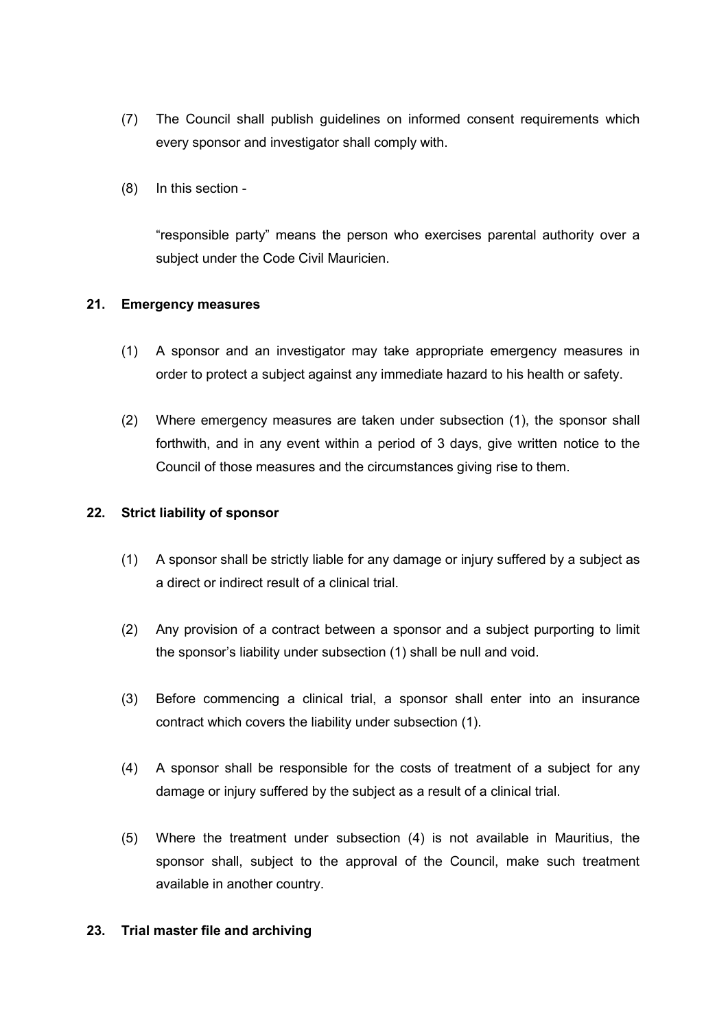- (7) The Council shall publish guidelines on informed consent requirements which every sponsor and investigator shall comply with.
- (8) In this section -

"responsible party" means the person who exercises parental authority over a subject under the Code Civil Mauricien.

## <span id="page-28-0"></span>**21. Emergency measures**

- (1) A sponsor and an investigator may take appropriate emergency measures in order to protect a subject against any immediate hazard to his health or safety.
- (2) Where emergency measures are taken under subsection (1), the sponsor shall forthwith, and in any event within a period of 3 days, give written notice to the Council of those measures and the circumstances giving rise to them.

## <span id="page-28-1"></span>**22. Strict liability of sponsor**

- (1) A sponsor shall be strictly liable for any damage or injury suffered by a subject as a direct or indirect result of a clinical trial.
- (2) Any provision of a contract between a sponsor and a subject purporting to limit the sponsor's liability under subsection (1) shall be null and void.
- (3) Before commencing a clinical trial, a sponsor shall enter into an insurance contract which covers the liability under subsection (1).
- (4) A sponsor shall be responsible for the costs of treatment of a subject for any damage or injury suffered by the subject as a result of a clinical trial.
- (5) Where the treatment under subsection (4) is not available in Mauritius, the sponsor shall, subject to the approval of the Council, make such treatment available in another country.

## <span id="page-28-2"></span>**23. Trial master file and archiving**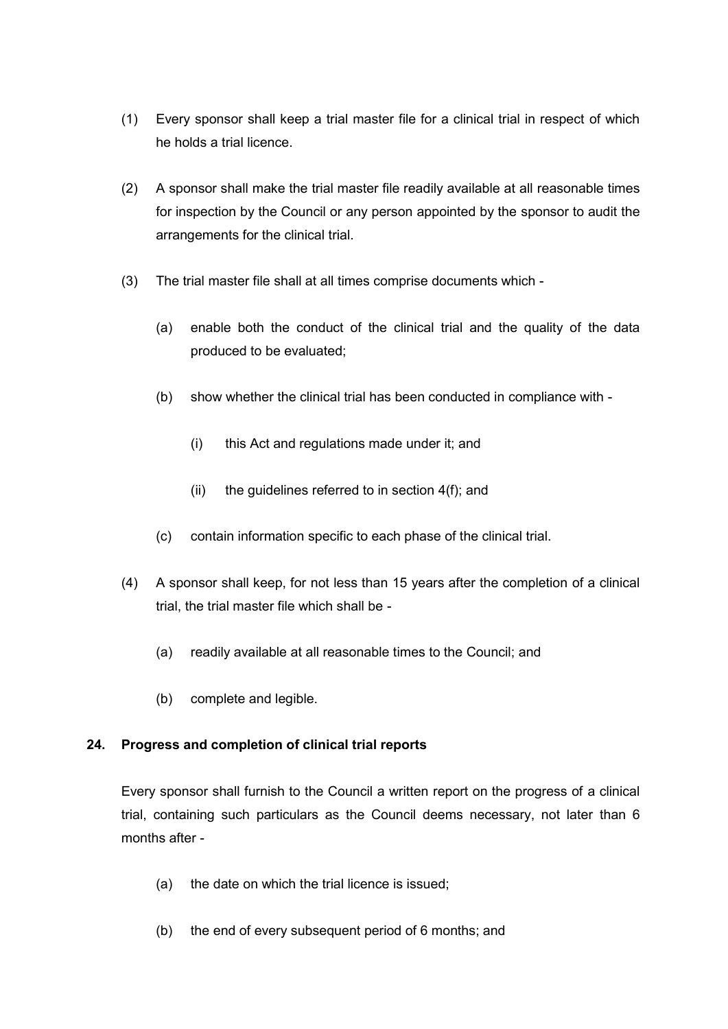- (1) Every sponsor shall keep a trial master file for a clinical trial in respect of which he holds a trial licence.
- (2) A sponsor shall make the trial master file readily available at all reasonable times for inspection by the Council or any person appointed by the sponsor to audit the arrangements for the clinical trial.
- (3) The trial master file shall at all times comprise documents which
	- (a) enable both the conduct of the clinical trial and the quality of the data produced to be evaluated;
	- (b) show whether the clinical trial has been conducted in compliance with
		- (i) this Act and regulations made under it; and
		- (ii) the guidelines referred to in section  $4(f)$ ; and
	- (c) contain information specific to each phase of the clinical trial.
- (4) A sponsor shall keep, for not less than 15 years after the completion of a clinical trial, the trial master file which shall be -
	- (a) readily available at all reasonable times to the Council; and
	- (b) complete and legible.

## <span id="page-29-0"></span>**24. Progress and completion of clinical trial reports**

Every sponsor shall furnish to the Council a written report on the progress of a clinical trial, containing such particulars as the Council deems necessary, not later than 6 months after -

- (a) the date on which the trial licence is issued;
- (b) the end of every subsequent period of 6 months; and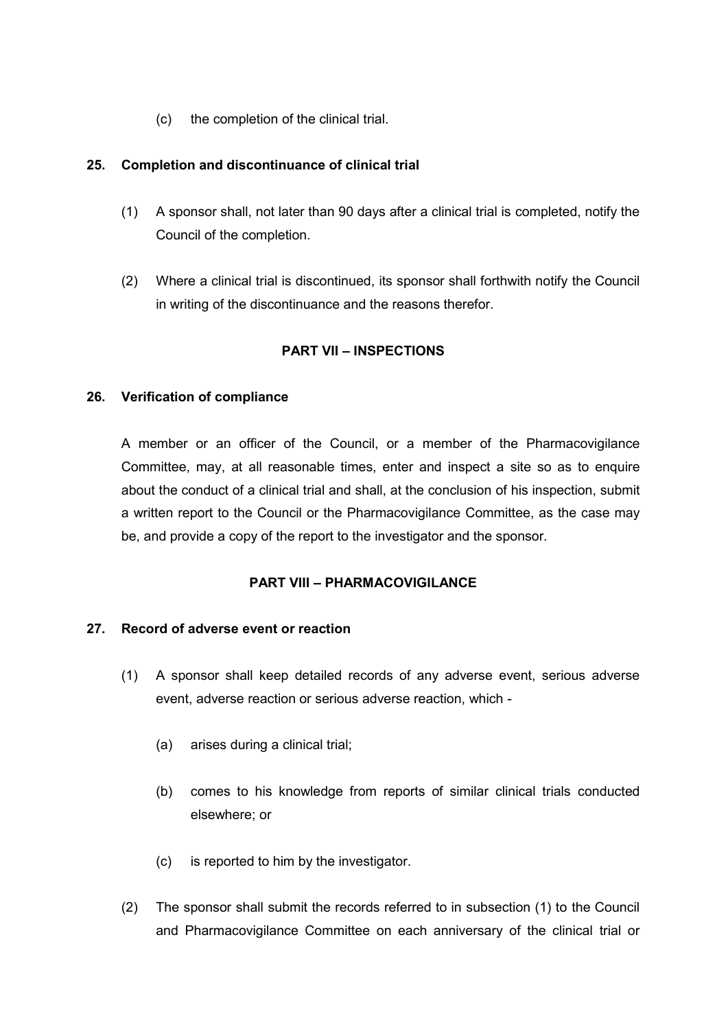(c) the completion of the clinical trial.

## <span id="page-30-0"></span>**25. Completion and discontinuance of clinical trial**

- (1) A sponsor shall, not later than 90 days after a clinical trial is completed, notify the Council of the completion.
- (2) Where a clinical trial is discontinued, its sponsor shall forthwith notify the Council in writing of the discontinuance and the reasons therefor.

## **PART VII – INSPECTIONS**

## <span id="page-30-1"></span>**26. Verification of compliance**

A member or an officer of the Council, or a member of the Pharmacovigilance Committee, may, at all reasonable times, enter and inspect a site so as to enquire about the conduct of a clinical trial and shall, at the conclusion of his inspection, submit a written report to the Council or the Pharmacovigilance Committee, as the case may be, and provide a copy of the report to the investigator and the sponsor.

## **PART VIII – PHARMACOVIGILANCE**

## <span id="page-30-2"></span>**27. Record of adverse event or reaction**

- (1) A sponsor shall keep detailed records of any adverse event, serious adverse event, adverse reaction or serious adverse reaction, which -
	- (a) arises during a clinical trial;
	- (b) comes to his knowledge from reports of similar clinical trials conducted elsewhere; or
	- (c) is reported to him by the investigator.
- (2) The sponsor shall submit the records referred to in subsection (1) to the Council and Pharmacovigilance Committee on each anniversary of the clinical trial or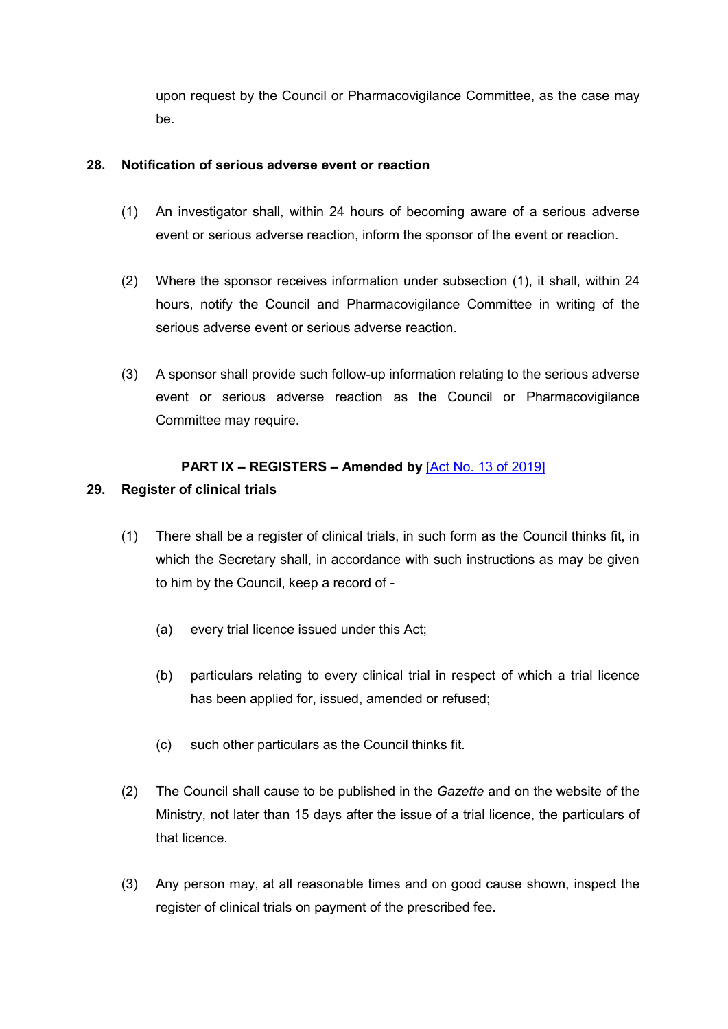upon request by the Council or Pharmacovigilance Committee, as the case may be.

## <span id="page-31-0"></span>**28. Notification of serious adverse event or reaction**

- (1) An investigator shall, within 24 hours of becoming aware of a serious adverse event or serious adverse reaction, inform the sponsor of the event or reaction.
- (2) Where the sponsor receives information under subsection (1), it shall, within 24 hours, notify the Council and Pharmacovigilance Committee in writing of the serious adverse event or serious adverse reaction.
- (3) A sponsor shall provide such follow-up information relating to the serious adverse event or serious adverse reaction as the Council or Pharmacovigilance Committee may require.

# **PART IX – REGISTERS – Amended by** [\[Act No. 13 of 2019\]](https://supremecourt.govmu.org/get-doc-link/Act_No._13_of_2019)

## <span id="page-31-1"></span>**29. Register of clinical trials**

- (1) There shall be a register of clinical trials, in such form as the Council thinks fit, in which the Secretary shall, in accordance with such instructions as may be given to him by the Council, keep a record of -
	- (a) every trial licence issued under this Act;
	- (b) particulars relating to every clinical trial in respect of which a trial licence has been applied for, issued, amended or refused;
	- (c) such other particulars as the Council thinks fit.
- (2) The Council shall cause to be published in the *Gazette* and on the website of the Ministry, not later than 15 days after the issue of a trial licence, the particulars of that licence.
- (3) Any person may, at all reasonable times and on good cause shown, inspect the register of clinical trials on payment of the prescribed fee.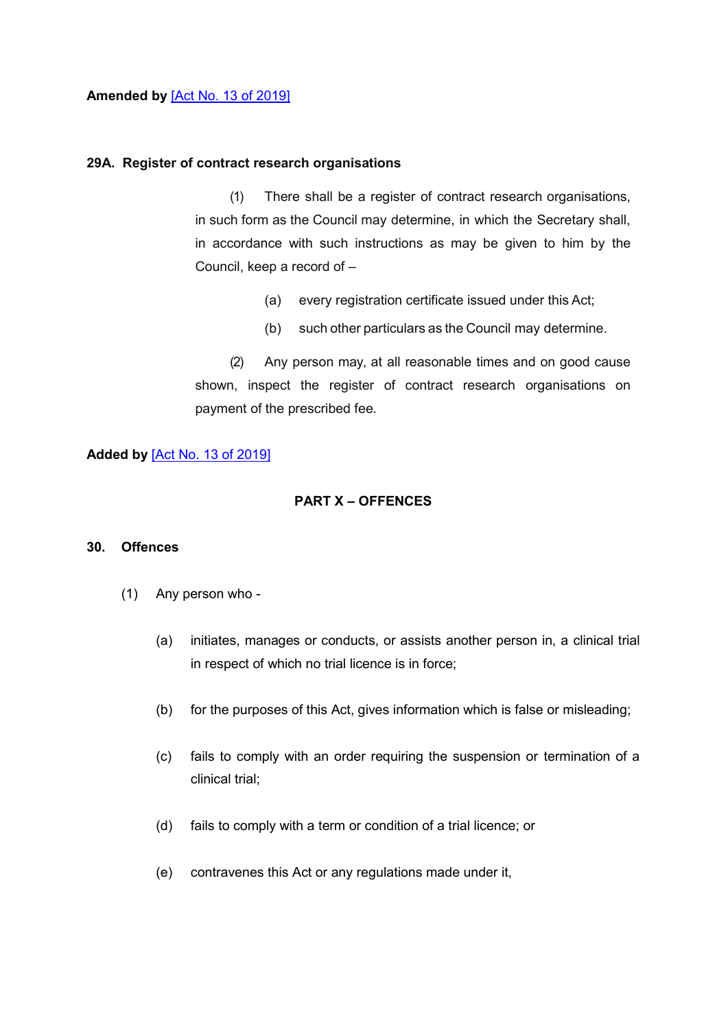**Amended by** [\[Act No. 13 of 2019\]](https://supremecourt.govmu.org/get-doc-link/Act_No._13_of_2019)

### **29A. Register of contract research organisations**

(1) There shall be a register of contract research organisations, in such form as the Council may determine, in which the Secretary shall, in accordance with such instructions as may be given to him by the Council, keep a record of –

- (a) every registration certificate issued under this Act;
- (b) such other particulars as the Council may determine.

(2) Any person may, at all reasonable times and on good cause shown, inspect the register of contract research organisations on payment of the prescribed fee.

## **Added by** [\[Act No. 13 of 2019\]](https://supremecourt.govmu.org/get-doc-link/Act_No._13_of_2019)

## **PART X – OFFENCES**

## <span id="page-32-0"></span>**30. Offences**

- (1) Any person who
	- (a) initiates, manages or conducts, or assists another person in, a clinical trial in respect of which no trial licence is in force;
	- (b) for the purposes of this Act, gives information which is false or misleading;
	- (c) fails to comply with an order requiring the suspension or termination of a clinical trial;
	- (d) fails to comply with a term or condition of a trial licence; or
	- (e) contravenes this Act or any regulations made under it,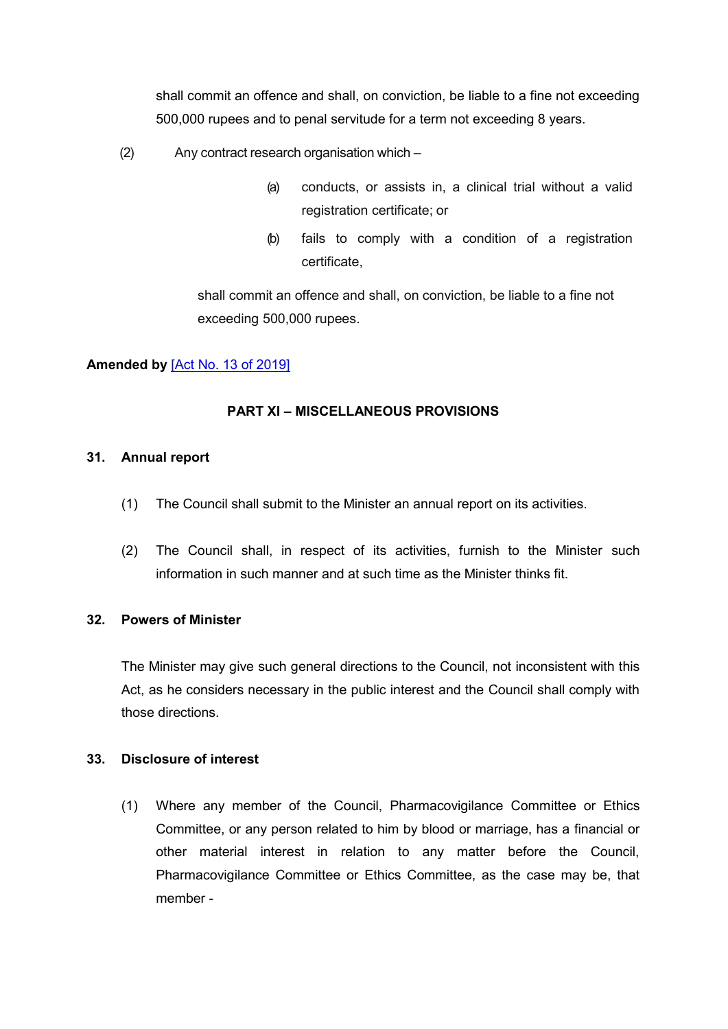shall commit an offence and shall, on conviction, be liable to a fine not exceeding 500,000 rupees and to penal servitude for a term not exceeding 8 years.

- (2) Any contract research organisation which
	- (a) conducts, or assists in, a clinical trial without a valid registration certificate; or
	- (b) fails to comply with a condition of a registration certificate,

shall commit an offence and shall, on conviction, be liable to a fine not exceeding 500,000 rupees.

# **Amended by** [\[Act No. 13 of 2019\]](https://supremecourt.govmu.org/get-doc-link/Act_No._13_of_2019)

## **PART XI – MISCELLANEOUS PROVISIONS**

## <span id="page-33-0"></span>**31. Annual report**

- (1) The Council shall submit to the Minister an annual report on its activities.
- (2) The Council shall, in respect of its activities, furnish to the Minister such information in such manner and at such time as the Minister thinks fit.

## <span id="page-33-1"></span>**32. Powers of Minister**

The Minister may give such general directions to the Council, not inconsistent with this Act, as he considers necessary in the public interest and the Council shall comply with those directions.

## <span id="page-33-2"></span>**33. Disclosure of interest**

(1) Where any member of the Council, Pharmacovigilance Committee or Ethics Committee, or any person related to him by blood or marriage, has a financial or other material interest in relation to any matter before the Council, Pharmacovigilance Committee or Ethics Committee, as the case may be, that member -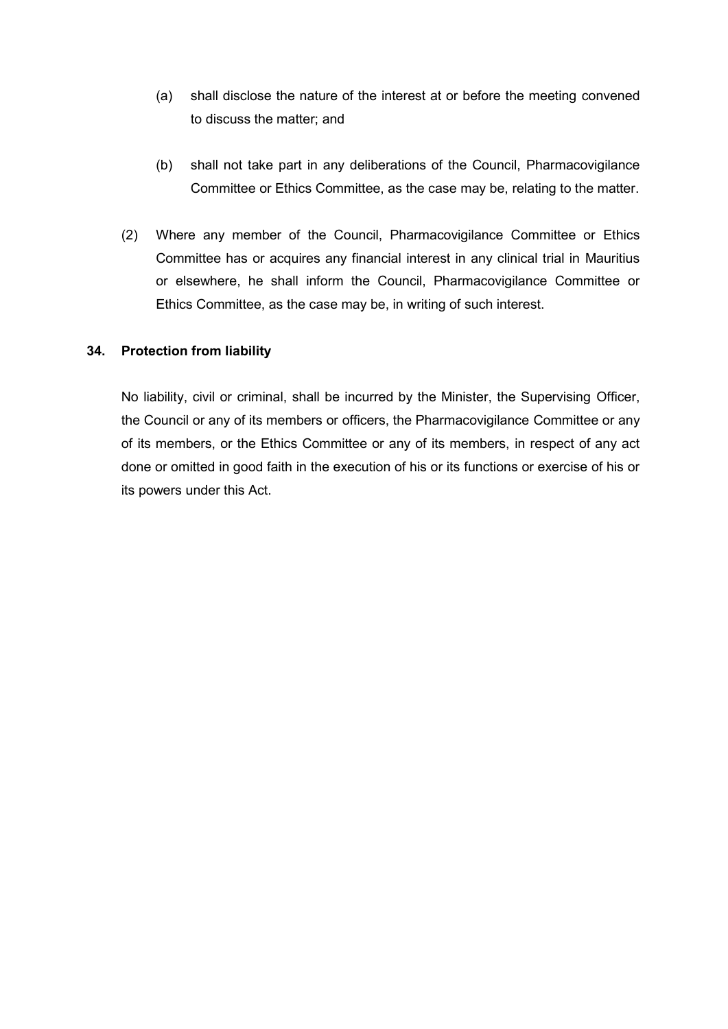- (a) shall disclose the nature of the interest at or before the meeting convened to discuss the matter; and
- (b) shall not take part in any deliberations of the Council, Pharmacovigilance Committee or Ethics Committee, as the case may be, relating to the matter.
- (2) Where any member of the Council, Pharmacovigilance Committee or Ethics Committee has or acquires any financial interest in any clinical trial in Mauritius or elsewhere, he shall inform the Council, Pharmacovigilance Committee or Ethics Committee, as the case may be, in writing of such interest.

### <span id="page-34-0"></span>**34. Protection from liability**

<span id="page-34-1"></span>No liability, civil or criminal, shall be incurred by the Minister, the Supervising Officer, the Council or any of its members or officers, the Pharmacovigilance Committee or any of its members, or the Ethics Committee or any of its members, in respect of any act done or omitted in good faith in the execution of his or its functions or exercise of his or its powers under this Act.